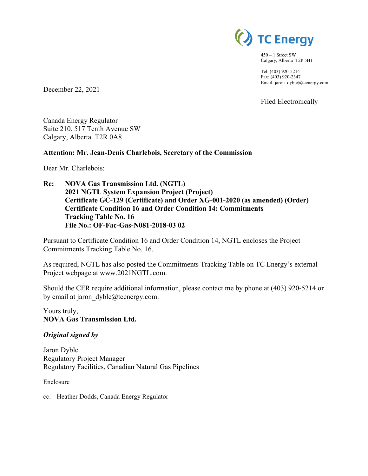

450 – 1 Street SW Calgary, Alberta T2P 5H1

Tel: (403) 920-5214 Fax: (403) 920-2347 Email: jaron\_dyble@tcenergy.com

Filed Electronically

December 22, 2021

Canada Energy Regulator Suite 210, 517 Tenth Avenue SW Calgary, Alberta T2R 0A8

#### **Attention: Mr. Jean-Denis Charlebois, Secretary of the Commission**

Dear Mr. Charlebois:

**Re: NOVA Gas Transmission Ltd. (NGTL) 2021 NGTL System Expansion Project (Project) Certificate GC-129 (Certificate) and Order XG-001-2020 (as amended) (Order) Certificate Condition 16 and Order Condition 14: Commitments Tracking Table No. 16 File No.: OF-Fac-Gas-N081-2018-03 02** 

Pursuant to Certificate Condition 16 and Order Condition 14, NGTL encloses the Project Commitments Tracking Table No. 16.

As required, NGTL has also posted the Commitments Tracking Table on TC Energy's external Project webpage at www.2021NGTL.com.

Should the CER require additional information, please contact me by phone at (403) 920-5214 or by email at jaron dyble@tcenergy.com.

Yours truly, **NOVA Gas Transmission Ltd.** 

#### *Original signed by*

Jaron Dyble Regulatory Project Manager Regulatory Facilities, Canadian Natural Gas Pipelines

Enclosure

cc: Heather Dodds, Canada Energy Regulator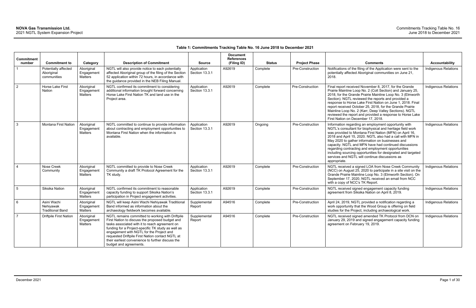| <b>Commitment</b> |                                                     |                                            |                                                                                                                                                                                                                                                                                                                                                                                            |                               | <b>Document</b><br><b>References</b> |               |                         |                                                                                                                                                                                                                                                                                                                                                                                                                                                                                                                                                |                             |
|-------------------|-----------------------------------------------------|--------------------------------------------|--------------------------------------------------------------------------------------------------------------------------------------------------------------------------------------------------------------------------------------------------------------------------------------------------------------------------------------------------------------------------------------------|-------------------------------|--------------------------------------|---------------|-------------------------|------------------------------------------------------------------------------------------------------------------------------------------------------------------------------------------------------------------------------------------------------------------------------------------------------------------------------------------------------------------------------------------------------------------------------------------------------------------------------------------------------------------------------------------------|-----------------------------|
| number            | <b>Commitment to</b>                                | Category                                   | <b>Description of Commitment</b>                                                                                                                                                                                                                                                                                                                                                           | <b>Source</b>                 | (Filing ID)                          | <b>Status</b> | <b>Project Phase</b>    | <b>Comments</b>                                                                                                                                                                                                                                                                                                                                                                                                                                                                                                                                | Accountability              |
|                   | Potentially affected<br>Aboriginal<br>communities   | Aboriginal<br>Engagement<br>Matters        | NGTL will also provide notice to each potentially<br>affected Aboriginal group of the filing of the Section<br>52 application within 72 hours, in accordance with<br>the guidance provided in the NEB Filing Manual.                                                                                                                                                                       | Application<br>Section 13.3.1 | A92619                               | Complete      | Pre-Construction        | Notifications of the filing of the Application were sent to the<br>potentially affected Aboriginal communities on June 21,<br>2018.                                                                                                                                                                                                                                                                                                                                                                                                            | Indigenous Relations        |
| $\overline{2}$    | Horse Lake First<br><b>Nation</b>                   | Aboriginal<br>Engagement<br>Matters        | NGTL confirmed its commitment to considering<br>additional information brought forward concerning<br>Horse Lake First Nation TK and land use in the<br>Project area.                                                                                                                                                                                                                       | Application<br>Section 13.3.1 | A92619                               | Complete      | Pre-Construction        | Final report received November 8, 2017, for the Grande<br>Prairie Mainline Loop No. 2 (Colt Section) and January 25,<br>2018, for the Grande Prairie Mainline Loop No. 3 (Elmworth<br>Section). NGTL reviewed the reports and provided a<br>response to Horse Lake First Nation on June 1, 2018. Final<br>report received October 25, 2018, for the Grande Prairie<br>Mainline Loop No. 2 (Karr, Deep Valley Sections). NGTL<br>reviewed the report and provided a response to Horse Lake<br>First Nation on December 17, 2018.                | Indigenous Relations        |
| 3                 | <b>Montana First Nation</b>                         | Aboriginal<br>Engagement<br>Matters        | NGTL committed to continue to provide information<br>about contracting and employment opportunities to<br>Montana First Nation when the information is<br>available.                                                                                                                                                                                                                       | Application<br>Section 13.3.1 | A92619                               | Ongoing       | Pre-Construction        | Information regarding an employment opportunity with<br>NGTL's consultant for biophysical and heritage field work<br>was provided to Montana First Nation (MFN) on April 16,<br>2018 and April 15, 2020. NGTL also had a call with MFN in<br>May 2020 to gather information on businesses and<br>capacity. NGTL and MFN have had continued discussions<br>regarding contracting and employment opportunities<br>including sourcing opportunities for designated and targeted<br>services and NGTL will continue discussions as<br>appropriate. | Indigenous Relations        |
| $\overline{4}$    | Nose Creek<br>Community                             | Aboriginal<br>Engagement<br><b>Matters</b> | NGTL committed to provide to Nose Creek<br>Community a draft TK Protocol Agreement for the<br>TK study.                                                                                                                                                                                                                                                                                    | Application<br>Section 13.3.1 | A92619                               | Complete      | <b>Pre-Construction</b> | NGTL received a signed LOA from Nose Creek Community<br>(NCC) on August 25, 2020 to participate in a site visit on the<br>Grande Prairie Mainline Loop No. 3 (Elmworth Section). On<br>September 17, 2020, NGTL received an email from NCC<br>with a copy of NCC's TK Report.                                                                                                                                                                                                                                                                  | <b>Indigenous Relations</b> |
| $5\phantom{.0}$   | Siksika Nation                                      | Aboriginal<br>Engagement<br>Matters        | NGTL confirmed its commitment to reasonable<br>capacity funding to support Siksika Nation's<br>participation in Project engagement activities.                                                                                                                                                                                                                                             | Application<br>Section 13.3.1 | A92619                               | Complete      | Pre-Construction        | NGTL received signed engagement capacity funding<br>agreement from Siksika Nation on April 8, 2019.                                                                                                                                                                                                                                                                                                                                                                                                                                            | <b>Indigenous Relations</b> |
| 6                 | Asini Wachi<br>Nehiyawak<br><b>Traditional Band</b> | Aboriginal<br>Engagement<br>Matters        | NGTL will keep Asini Wachi Nehiyawak Traditional<br>Band informed as information about the<br>archaeology fieldwork becomes available.                                                                                                                                                                                                                                                     | Supplemental<br>Report        | A94516                               | Complete      | Pre-Construction        | April 24, 2019, NGTL provided a notification regarding a<br>work opportunity that the Wood Group is offering on field<br>studies for the Project, including archaeological work.                                                                                                                                                                                                                                                                                                                                                               | <b>Indigenous Relations</b> |
| $\overline{7}$    | <b>Driftpile First Nation</b>                       | Aboriginal<br>Engagement<br>Matters        | NGTL remains committed to working with Driftpile<br>First Nation to discuss the proposed budget and<br>tasks associated with it to reach agreement on<br>funding for a Project-specific TK study as well as<br>engagement with NGTL for the Project and<br>requested Driftpile First Nation contact NGTL at<br>their earliest convenience to further discuss the<br>budget and agreements. | Supplemental<br>Report        | A94516                               | Complete      | Pre-Construction        | NGTL received signed amended TK Protocol from DCN on<br>January 29, 2019 and signed engagement capacity funding<br>agreement on February 19, 2019.                                                                                                                                                                                                                                                                                                                                                                                             | Indigenous Relations        |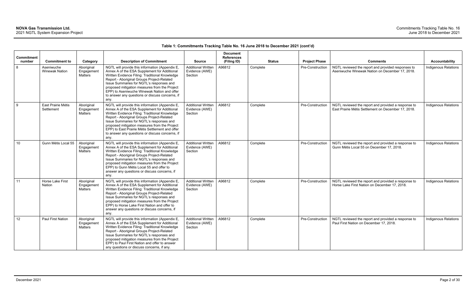| Commitment<br>number | <b>Commitment to</b>                | Category                                   | <b>Description of Commitment</b>                                                                                                                                                                                                                                                                                                                                                                           | <b>Source</b>                                          | <b>Document</b><br><b>References</b><br>(Filing ID) | <b>Status</b> | <b>Project Phase</b> | <b>Comments</b>                                                                                            | <b>Accountability</b>       |
|----------------------|-------------------------------------|--------------------------------------------|------------------------------------------------------------------------------------------------------------------------------------------------------------------------------------------------------------------------------------------------------------------------------------------------------------------------------------------------------------------------------------------------------------|--------------------------------------------------------|-----------------------------------------------------|---------------|----------------------|------------------------------------------------------------------------------------------------------------|-----------------------------|
| 8                    | Aseniwuche<br><b>Winewak Nation</b> | Aboriginal<br>Engagement<br>Matters        | NGTL will provide this information (Appendix E,<br>Annex A of the ESA Supplement for Additional<br>Written Evidence Filing: Traditional Knowledge<br>Report - Aboriginal Groups Project-Related<br>Issue Summaries for NGTL's responses and<br>proposed mitigation measures from the Project<br>EPP) to Aseniwuche Winewak Nation and offer<br>to answer any questions or discuss concerns, if<br>any.     | <b>Additional Written</b><br>Evidence (AWE)<br>Section | A96812                                              | Complete      | Pre-Construction     | NGTL reviewed the report and provided responses to<br>Aseniwuche Winewak Nation on December 17, 2018.      | <b>Indigenous Relations</b> |
| 9                    | East Prairie Métis<br>Settlement    | Aboriginal<br>Engagement<br><b>Matters</b> | NGTL will provide this information (Appendix E,<br>Annex A of the ESA Supplement for Additional<br>Written Evidence Filing: Traditional Knowledge<br>Report - Aboriginal Groups Project-Related<br>Issue Summaries for NGTL's responses and<br>proposed mitigation measures from the Project<br>EPP) to East Prairie Métis Settlement and offer<br>to answer any questions or discuss concerns, if<br>any. | <b>Additional Written</b><br>Evidence (AWE)<br>Section | A96812                                              | Complete      | Pre-Construction     | NGTL reviewed the report and provided a response to<br>East Prairie Métis Settlement on December 17, 2018. | <b>Indigenous Relations</b> |
| 10                   | Gunn Métis Local 55                 | Aboriginal<br>Engagement<br>Matters        | NGTL will provide this information (Appendix E,<br>Annex A of the ESA Supplement for Additional<br>Written Evidence Filing: Traditional Knowledge<br>Report - Aboriginal Groups Project-Related<br>Issue Summaries for NGTL's responses and<br>proposed mitigation measures from the Project<br>EPP) to Gunn Métis Local 55 and offer to<br>answer any questions or discuss concerns, if<br>any.           | <b>Additional Written</b><br>Evidence (AWE)<br>Section | A96812                                              | Complete      | Pre-Construction     | NGTL reviewed the report and provided a response to<br>Gunn Métis Local 55 on December 17, 2018.           | <b>Indigenous Relations</b> |
| 11                   | Horse Lake First<br><b>Nation</b>   | Aboriginal<br>Engagement<br>Matters        | NGTL will provide this information (Appendix E,<br>Annex A of the ESA Supplement for Additional<br>Written Evidence Filing: Traditional Knowledge<br>Report - Aboriginal Groups Project-Related<br>Issue Summaries for NGTL's responses and<br>proposed mitigation measures from the Project<br>EPP) to Horse Lake First Nation and offer to<br>answer any questions or discuss concerns, if<br>any.       | <b>Additional Written</b><br>Evidence (AWE)<br>Section | A96812                                              | Complete      | Pre-Construction     | NGTL reviewed the report and provided a response to<br>Horse Lake First Nation on December 17, 2018.       | <b>Indigenous Relations</b> |
| 12                   | <b>Paul First Nation</b>            | Aboriginal<br>Engagement<br><b>Matters</b> | NGTL will provide this information (Appendix E,<br>Annex A of the ESA Supplement for Additional<br>Written Evidence Filing: Traditional Knowledge<br>Report - Aboriginal Groups Project-Related<br>Issue Summaries for NGTL's responses and<br>proposed mitigation measures from the Project<br>EPP) to Paul First Nation and offer to answer<br>any questions or discuss concerns, if any.                | <b>Additional Written</b><br>Evidence (AWE)<br>Section | A96812                                              | Complete      | Pre-Construction     | NGTL reviewed the report and provided a response to<br>Paul First Nation on December 17, 2018.             | <b>Indigenous Relations</b> |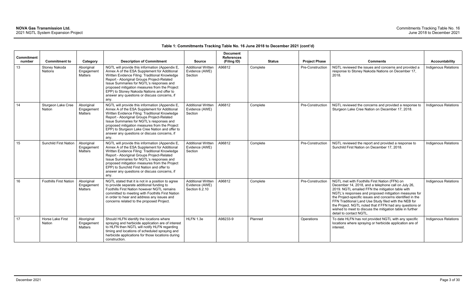| <b>Commitment</b> |                                     |                                            |                                                                                                                                                                                                                                                                                                                                                                                                        |                                                               | <b>Document</b><br><b>References</b> |               |                      |                                                                                                                                                                                                                                                                                                                                                                                                                                                                                              |                             |
|-------------------|-------------------------------------|--------------------------------------------|--------------------------------------------------------------------------------------------------------------------------------------------------------------------------------------------------------------------------------------------------------------------------------------------------------------------------------------------------------------------------------------------------------|---------------------------------------------------------------|--------------------------------------|---------------|----------------------|----------------------------------------------------------------------------------------------------------------------------------------------------------------------------------------------------------------------------------------------------------------------------------------------------------------------------------------------------------------------------------------------------------------------------------------------------------------------------------------------|-----------------------------|
| number            | <b>Commitment to</b>                | Category                                   | <b>Description of Commitment</b>                                                                                                                                                                                                                                                                                                                                                                       | <b>Source</b>                                                 | (Filing ID)                          | <b>Status</b> | <b>Project Phase</b> | <b>Comments</b>                                                                                                                                                                                                                                                                                                                                                                                                                                                                              | Accountability              |
| 13                | Stoney Nakoda<br>Nations            | Aboriginal<br>Engagement<br>Matters        | NGTL will provide this information (Appendix E,<br>Annex A of the ESA Supplement for Additional<br>Written Evidence Filing: Traditional Knowledge<br>Report - Aboriginal Groups Project-Related<br>Issue Summaries for NGTL's responses and<br>proposed mitigation measures from the Project<br>EPP) to Stoney Nakoda Nations and offer to<br>answer any questions or discuss concerns, if<br>any.     | <b>Additional Written</b><br>Evidence (AWE)<br>Section        | A96812                               | Complete      | Pre-Construction     | NGTL reviewed the issues and concerns and provided a<br>response to Stoney Nakoda Nations on December 17,<br>2018.                                                                                                                                                                                                                                                                                                                                                                           | Indigenous Relations        |
| 14                | Sturgeon Lake Cree<br><b>Nation</b> | Aboriginal<br>Engagement<br>Matters        | NGTL will provide this information (Appendix E,<br>Annex A of the ESA Supplement for Additional<br>Written Evidence Filing: Traditional Knowledge<br>Report - Aboriginal Groups Project-Related<br>Issue Summaries for NGTL's responses and<br>proposed mitigation measures from the Project<br>EPP) to Sturgeon Lake Cree Nation and offer to<br>answer any questions or discuss concerns, if<br>any. | <b>Additional Written</b><br>Evidence (AWE)<br>Section        | A96812                               | Complete      | Pre-Construction     | NGTL reviewed the concerns and provided a response to<br>Sturgeon Lake Cree Nation on December 17, 2018.                                                                                                                                                                                                                                                                                                                                                                                     | <b>Indigenous Relations</b> |
| 15                | <b>Sunchild First Nation</b>        | Aboriginal<br>Engagement<br><b>Matters</b> | NGTL will provide this information (Appendix E,<br>Annex A of the ESA Supplement for Additional<br>Written Evidence Filing: Traditional Knowledge<br>Report - Aboriginal Groups Project-Related<br>Issue Summaries for NGTL's responses and<br>proposed mitigation measures from the Project<br>EPP) to Sunchild First Nation and offer to<br>answer any questions or discuss concerns, if<br>any.     | <b>Additional Written</b><br>Evidence (AWE)<br>Section        | A96812                               | Complete      | Pre-Construction     | NGTL reviewed the report and provided a response to<br>Sunchild First Nation on December 17, 2018.                                                                                                                                                                                                                                                                                                                                                                                           | <b>Indigenous Relations</b> |
| 16                | <b>Foothills First Nation</b>       | Aboriginal<br>Engagement<br>Matters        | NGTL stated that it is not in a position to agree<br>to provide separate additional funding to<br>Foothills First Nation however NGTL remains<br>committed to meeting with Foothills First Nation<br>in order to hear and address any issues and<br>concerns related to the proposed Project.                                                                                                          | <b>Additional Written</b><br>Evidence (AWE)<br>Section 6.2.10 | A96812                               | Complete      | Pre-Construction     | NGTL met with Foothills First Nation (FFN) on<br>December 14, 2018, and a telephone call on July 26,<br>2019. NGTL emailed FFN the mitigation table with<br>NGTL's responses and proposed mitigation measures for<br>the Project-specific issues and concerns identified in the<br>FFN Traditional Land Use Study filed with the NEB for<br>the Project. NGTL noted that if FFN had any questions or<br>wished to meet to discuss the mitigation table in further<br>detail to contact NGTL. | <b>Indigenous Relations</b> |
| 17                | <b>Horse Lake First</b><br>Nation   | Aboriginal<br>Engagement<br><b>Matters</b> | Should HLFN identify the locations where<br>spraying and herbicide application are of interest<br>to HLFN then NGTL will notify HLFN regarding<br>timing and locations of scheduled spraying and<br>herbicide applications for those locations during<br>construction.                                                                                                                                 | HLFN 1.3e                                                     | A98233-9                             | Planned       | Operations           | To date HLFN has not provided NGTL with any specific<br>locations where spraying or herbicide application are of<br>interest.                                                                                                                                                                                                                                                                                                                                                                | Indigenous Relations        |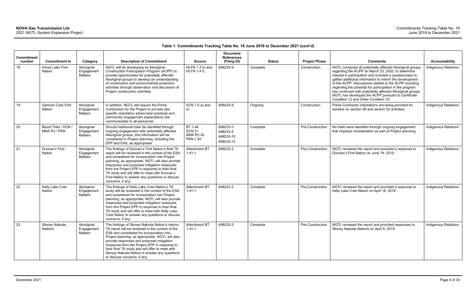| <b>Commitment</b><br>number | <b>Commitment to</b>                | Category                                   | <b>Description of Commitment</b>                                                                                                                                                                                                                                                                                                                                                                                                     | <b>Source</b>                                                   | <b>Document</b><br><b>References</b><br>(Filing ID) | <b>Status</b> | <b>Project Phase</b> | <b>Comments</b>                                                                                                                                                                                                                                                                                                                                                                                                                                                                                                            | <b>Accountability</b>       |
|-----------------------------|-------------------------------------|--------------------------------------------|--------------------------------------------------------------------------------------------------------------------------------------------------------------------------------------------------------------------------------------------------------------------------------------------------------------------------------------------------------------------------------------------------------------------------------------|-----------------------------------------------------------------|-----------------------------------------------------|---------------|----------------------|----------------------------------------------------------------------------------------------------------------------------------------------------------------------------------------------------------------------------------------------------------------------------------------------------------------------------------------------------------------------------------------------------------------------------------------------------------------------------------------------------------------------------|-----------------------------|
| 18                          | Horse Lake First<br>Nation          | Aboriginal<br>Engagement<br>Matters        | NGTL will be developing an Aboriginal<br>Construction Participation Program (ACPP) to<br>provide opportunities for potentially affected<br>Aboriginal groups to develop an understanding<br>of construction and environmental protection<br>activities through observation and discussion of<br>Project construction activities.                                                                                                     | HLFN 1.3 h) and<br>HLFN 1.4 f                                   | A98233-9                                            | Complete      | Construction         | NGTL contacted all potentially affected Aboriginal groups<br>regarding the ACPP on March 23, 2020, to determine<br>interest in participation and included a questionnaire to<br>gather additional information to inform the development<br>of the ACPP. Discussions related to the ACPP including<br>regarding the potential for participation in the program<br>has continued with potentially affected Aboriginal groups.<br>NGTL has developed the ACPP pursuant to Certificate<br>Condition 12 and Order Condition 10. | Indigenous Relations        |
| 19                          | Samson Cree First<br>Nation         | Aboriginal<br>Engagement<br>Matters        | In addition, NGTL will require the Prime<br>Contractors for the Project to provide site-<br>specific orientation where best practices and<br>community engagement expectations are<br>communicated to all personnel.                                                                                                                                                                                                                 | SCN 1.0 a) and<br>b)                                            | A98233-9                                            | Ongoing       | Construction         | Prime Contractor orientations are being provided for<br>workers on section 58 and section 52 activities.                                                                                                                                                                                                                                                                                                                                                                                                                   | Indigenous Relations        |
| 20                          | Blood Tribe / DCN /<br>MNA R3 / PKN | Aboriginal<br>Engagement<br><b>Matters</b> | Should traditional trails be identified through<br>ongoing engagement with potentially affected<br>Aboriginal groups, this information will be<br>considered in Project planning, including the<br>EPP and EAS, as appropriate.                                                                                                                                                                                                      | BT 1.44<br><b>DCN 21</b><br><b>MNA R3 45</b><br><b>PKN 1.44</b> | A98233-3<br>A98233-5<br>A98233-10<br>A98233-12      | Complete      | Pre-Construction     | No trails were identified through ongoing engagement<br>that required consideration as part of Project planning.                                                                                                                                                                                                                                                                                                                                                                                                           | Indigenous Relations        |
| 21                          | Duncan's First<br>Nation            | Aboriginal<br>Engagement<br>Matters        | The findings of Duncan's First Nation's final TK<br>report will be reviewed in the context of the ESA<br>and considered for incorporation into Project<br>planning, as appropriate. NGTL will also provide<br>responses and proposed mitigation measures<br>from the Project EPP in response to their final<br>TK study and will offer to meet with Duncan's<br>First Nation to answer any questions or discuss<br>concerns, if any. | <b>Attachment BT</b><br>$1.41 - 1$                              | A98233-3                                            | Complete      | Pre-Construction     | NGTL reviewed the report and provided a response to<br>Duncan's First Nation on June 19, 2019.                                                                                                                                                                                                                                                                                                                                                                                                                             | <b>Indigenous Relations</b> |
| 22                          | Kelly Lake Cree<br><b>Nation</b>    | Aboriginal<br>Engagement<br>Matters        | The findings of Kelly Lake Cree Nation's TK<br>study will be reviewed in the context of the ESA<br>and considered for incorporation into Project<br>planning, as appropriate. NGTL will also provide<br>responses and proposed mitigation measures<br>from the Project EPP in response to their final<br>TK study and will offer to meet with Kelly Lake<br>Cree Nation to answer any questions or discuss<br>concerns, if any.      | <b>Attachment BT</b><br>$1.41 - 1$                              | A98233-3                                            | Complete      | Pre-Construction     | NGTL reviewed the report and provided a response to<br>Kelly Lake Cree Nation on April 16, 2019.                                                                                                                                                                                                                                                                                                                                                                                                                           | Indigenous Relations        |
| 23                          | Stoney Nakoda<br>Nations            | Aboriginal<br>Engagement<br>Matters        | The findings of Stoney Nakoda Nation's interim<br>TK report will be reviewed in the context of the<br>ESA and considered for incorporation into<br>Project planning, as appropriate. NGTL will also<br>provide responses and proposed mitigation<br>measures from the Project EPP in response to<br>their final TK study and will offer to meet with<br>Stoney Nakoda Nation to answer any questions<br>or discuss concerns, if any. | Attachment BT<br>$1.41 - 1$                                     | A98233-3                                            | Complete      | Pre-Construction     | NGTL reviewed the report and provided responses to<br>Stoney Nakoda Nations on April 9, 2019.                                                                                                                                                                                                                                                                                                                                                                                                                              | Indigenous Relations        |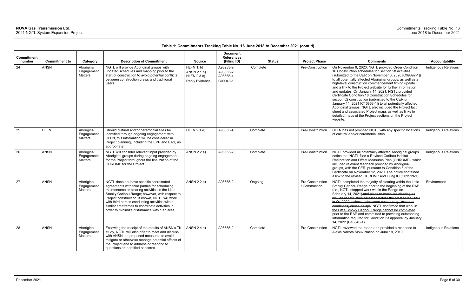| Commitment<br>number | <b>Commitment to</b> | Category                                   | <b>Description of Commitment</b>                                                                                                                                                                                                                                                                                                                                                                     | <b>Source</b>                                                    | <b>Document</b><br><b>References</b><br>(Filing ID) | <b>Status</b> | <b>Project Phase</b>               | <b>Comments</b>                                                                                                                                                                                                                                                                                                                                                                                                                                                                                                                                                                                                                                                                                                                                                       | <b>Accountability</b>       |
|----------------------|----------------------|--------------------------------------------|------------------------------------------------------------------------------------------------------------------------------------------------------------------------------------------------------------------------------------------------------------------------------------------------------------------------------------------------------------------------------------------------------|------------------------------------------------------------------|-----------------------------------------------------|---------------|------------------------------------|-----------------------------------------------------------------------------------------------------------------------------------------------------------------------------------------------------------------------------------------------------------------------------------------------------------------------------------------------------------------------------------------------------------------------------------------------------------------------------------------------------------------------------------------------------------------------------------------------------------------------------------------------------------------------------------------------------------------------------------------------------------------------|-----------------------------|
| 24                   | <b>ANSN</b>          | Aboriginal<br>Engagement<br>Matters        | NGTL will provide Aboriginal groups with<br>updated schedules and mapping prior to the<br>start of construction to avoid potential conflicts<br>between construction crews and traditional<br>users.                                                                                                                                                                                                 | <b>HLFN 1.1d</b><br>ANSN 2.1 h)<br>HLFN 2.3 c)<br>Reply Evidence | A98233-9<br>A98655-2<br>A98655-4<br>C00043-1        | Complete      | Pre-Construction                   | On November 9, 2020, NGTL provided Order Condition<br>16 Construction schedules for Section 58 activities<br>(submitted to the CER on November 6, 2020 [C09392-1])<br>to all potentially affected Aboriginal groups, as well as a<br>high-level construction commencement timing update<br>and a link to the Project website for further information<br>and updates. On January 14, 2021, NGTL provided<br>Certificate Condition 18 Construction Schedules for<br>section 52 construction (submitted to the CER on<br>January 11, 2021 [C10858-1]) to all potentially affected<br>Aboriginal groups. NGTL also included the Project fact<br>sheet and associated Project maps as well as links to<br>detailed maps of the Project sections on the Project<br>website. | <b>Indigenous Relations</b> |
| 25                   | <b>HLFN</b>          | Aboriginal<br>Engagement<br><b>Matters</b> | Should cultural and/or ceremonial sites be<br>identified through ongoing engagement with<br>HLFN, this information will be considered in<br>Project planning, including the EPP and EAS, as<br>appropriate.                                                                                                                                                                                          | HLFN 2.1 e)                                                      | A98655-4                                            | Complete      | Pre-Construction                   | HLFN has not provided NGTL with any specific locations<br>of cultural and/or ceremonial sites.                                                                                                                                                                                                                                                                                                                                                                                                                                                                                                                                                                                                                                                                        | <b>Indigenous Relations</b> |
| 26                   | <b>ANSN</b>          | Aboriginal<br>Engagement<br><b>Matters</b> | NGTL will consider relevant input provided by<br>Aboriginal groups during ongoing engagement<br>for the Project throughout the finalization of the<br>CHROMP for the Project.                                                                                                                                                                                                                        | ANSN 2.2 a)                                                      | A98655-2                                            | Complete      | Pre-Construction                   | NGTL provided all potentially affected Aboriginal groups<br>notice that NGTL filed a Revised Caribou Habitat<br>Restoration and Offset Measures Plan (CHROMP), which<br>included relevant feedback provided by Aboriginal<br>groups, with the CER, pursuant to Condition 6 of the<br>Certificate on November 12, 2020. The notice contained<br>a link to the revised CHROMP and Filing ID (C09519-1).                                                                                                                                                                                                                                                                                                                                                                 | <b>Indigenous Relations</b> |
| 27                   | <b>ANSN</b>          | Aboriginal<br>Engagement<br>Matters        | NGTL does not have specific coordinated<br>agreements with third parties for scheduling<br>maintenance or clearing activities in the Little<br>Smoky Caribou Range; however, with respect to<br>Project construction, if known, NGTL will work<br>with third parties conducting activities within<br>similar timeframes to coordinate activities in<br>order to minimize disturbance within an area. | ANSN 2.2 e)                                                      | A98655-2                                            | Ongoing       | Pre-Construction<br>/ Construction | NGTL completed the majority of clearing within the Little<br>Smoky Caribou Range prior to the beginning of the RAP<br>(i.e., NGTL stopped work within the Range on<br>February 14, 2021) and plans to complete clearing as<br>well as construction activities before the start of the RAP<br>in Q1 2022, unless unforeseen events (e.g., weather<br>conditions) cause delays. NGTL confirmed that work in<br>the Little Smoky Caribou Range cannot be completed<br>prior to the RAP and committed to providing outstanding<br>information required for Condition 23 approval by January<br>14, 2022 (C16840-1).                                                                                                                                                       | Environment                 |
| 28                   | <b>ANSN</b>          | Aboriginal<br>Engagement<br>Matters        | Following the receipt of the results of ANSN's TK<br>study, NGTL will also offer to meet and discuss<br>with ANSN the proposed measures to avoid,<br>mitigate or otherwise manage potential effects of<br>the Project and to address or respond to<br>questions or identified concerns.                                                                                                              | ANSN 2.4 a)                                                      | A98655-2                                            | Complete      | Pre-Construction                   | NGTL reviewed the report and provided a response to<br>Alexis Nakota Sioux Nation on June 19, 2019.                                                                                                                                                                                                                                                                                                                                                                                                                                                                                                                                                                                                                                                                   | <b>Indigenous Relations</b> |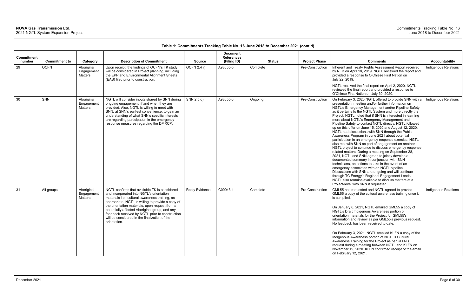| <b>Commitment</b><br>number | <b>Commitment to</b> | Category                                   | <b>Description of Commitment</b>                                                                                                                                                                                                                                                                                                                                                                                          | <b>Source</b>         | <b>Document</b><br><b>References</b><br>(Filing ID) | <b>Status</b> | <b>Project Phase</b> | <b>Comments</b>                                                                                                                                                                                                                                                                                                                                                                                                                                                                                                                                                                                                                                                                                                                                                                                                                                                                                                                                                                                                                                                                                                                                                                                                                                            | <b>Accountability</b>       |
|-----------------------------|----------------------|--------------------------------------------|---------------------------------------------------------------------------------------------------------------------------------------------------------------------------------------------------------------------------------------------------------------------------------------------------------------------------------------------------------------------------------------------------------------------------|-----------------------|-----------------------------------------------------|---------------|----------------------|------------------------------------------------------------------------------------------------------------------------------------------------------------------------------------------------------------------------------------------------------------------------------------------------------------------------------------------------------------------------------------------------------------------------------------------------------------------------------------------------------------------------------------------------------------------------------------------------------------------------------------------------------------------------------------------------------------------------------------------------------------------------------------------------------------------------------------------------------------------------------------------------------------------------------------------------------------------------------------------------------------------------------------------------------------------------------------------------------------------------------------------------------------------------------------------------------------------------------------------------------------|-----------------------------|
| 29                          | <b>OCFN</b>          | Aboriginal<br>Engagement<br><b>Matters</b> | Upon receipt, the findings of OCFN's TK study<br>will be considered in Project planning, including<br>the EPP and Environmental Alignment Sheets<br>(EAS) filed prior to construction.                                                                                                                                                                                                                                    | OCFN 2.4 r)           | A98655-5                                            | Complete      | Pre-Construction     | Inherent and Treaty Rights Assessment Report received<br>by NEB on April 18, 2019. NGTL reviewed the report and<br>provided a response to O'Chiese First Nation on<br>July 22, 2019.<br>NGTL received the final report on April 2, 2020. NGTL<br>reviewed the final report and provided a response to                                                                                                                                                                                                                                                                                                                                                                                                                                                                                                                                                                                                                                                                                                                                                                                                                                                                                                                                                      | Indigenous Relations        |
| 30                          | SNN                  | Aboriginal<br>Engagement<br>Matters        | NGTL will consider inputs shared by SNN during<br>ongoing engagement, if and when they are<br>provided. Also, NGTL is willing to meet with<br>SNN, at SNN's earliest convenience, to gain an<br>understanding of what SNN's specific interests<br>are regarding participation in the emergency<br>response measures regarding the DMRCP.                                                                                  | SNN 2.5 d)            | A98655-6                                            | Ongoing       | Pre-Construction     | O'Chiese First Nation on July 30, 2020.<br>On February 3, 2020 NGTL offered to provide SNN with a<br>presentation, meeting and/or further information on<br>NGTL's Emergency Management and/or Pipeline Safety<br>as it pertains to the NGTL System and more directly the<br>Project. NGTL noted that if SNN is interested in learning<br>more about NGTL's Emergency Management and<br>Pipeline Safety to contact NGTL directly. NGTL followed<br>up on this offer on June 15, 2020 and August 12, 2020.<br>NGTL had discussions with SNN through the Public<br>Awareness Program in June 2021 about potential<br>participation in an emergency response exercise. NGTL<br>also met with SNN as part of engagement on another<br>NGTL project to continue to discuss emergency response<br>related matters. During a meeting on September 28,<br>2021, NGTL and SNN agreed to jointly develop a<br>documented summary in conjunction with SNN<br>technicians, on actions to take in the event of an<br>emergency associated with an NGTL pipeline.<br>Discussions with SNN are ongoing and will continue<br>through TC Energy's Regional Engagement Leads.<br>NGTL also remains available to discuss matters at a<br>Project-level with SNN if requested. | <b>Indigenous Relations</b> |
| 31                          | All groups           | Aboriginal<br>Engagement<br><b>Matters</b> | NGTL confirms that available TK is considered<br>and incorporated into NGTL's orientation<br>materials i.e., cultural awareness training, as<br>appropriate. NGTL is willing to provide a copy of<br>the orientation materials, upon request from a<br>potentially affected Aboriginal group, and any<br>feedback received by NGTL prior to construction<br>will be considered in the finalization of the<br>orientation. | <b>Reply Evidence</b> | C00043-1                                            | Complete      | Pre-Construction     | GML55 has requested and NGTL agreed to provide<br>GML55 a copy of the cultural awareness training once it<br>is compiled.<br>On January 6, 2021, NGTL emailed GML55 a copy of<br>NGTL's Draft Indigenous Awareness portion of<br>orientation materials for the Project for GML55's<br>information and review as per GML55's previous request.<br>No feedback has been received to date.<br>On February 3, 2021, NGTL emailed KLFN a copy of the<br>Indigenous Awareness portion of NGTL's Cultural<br>Awareness Training for the Project as per KLFN's<br>request during a meeting between NGTL and KLFN on<br>November 19, 2020. KLFN confirmed receipt of the email<br>on February 12, 2021.                                                                                                                                                                                                                                                                                                                                                                                                                                                                                                                                                             | Indigenous Relations        |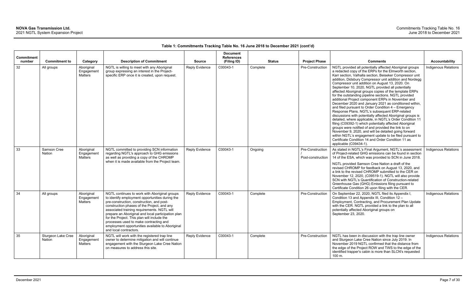| <b>Commitment</b> |                              |                                     |                                                                                                                                                                                                                                                                                                                                                                                                                                                                          |                       | <b>Document</b><br><b>References</b> |               |                                       |                                                                                                                                                                                                                                                                                                                                                                                                                                                                                                                                                                                                                                                                                                                                                                                                                                                                                                                                                                                                                                                                                                                                           |                             |
|-------------------|------------------------------|-------------------------------------|--------------------------------------------------------------------------------------------------------------------------------------------------------------------------------------------------------------------------------------------------------------------------------------------------------------------------------------------------------------------------------------------------------------------------------------------------------------------------|-----------------------|--------------------------------------|---------------|---------------------------------------|-------------------------------------------------------------------------------------------------------------------------------------------------------------------------------------------------------------------------------------------------------------------------------------------------------------------------------------------------------------------------------------------------------------------------------------------------------------------------------------------------------------------------------------------------------------------------------------------------------------------------------------------------------------------------------------------------------------------------------------------------------------------------------------------------------------------------------------------------------------------------------------------------------------------------------------------------------------------------------------------------------------------------------------------------------------------------------------------------------------------------------------------|-----------------------------|
| number            | <b>Commitment to</b>         | Category                            | <b>Description of Commitment</b>                                                                                                                                                                                                                                                                                                                                                                                                                                         | <b>Source</b>         | (Filing ID)                          | <b>Status</b> | <b>Project Phase</b>                  | <b>Comments</b>                                                                                                                                                                                                                                                                                                                                                                                                                                                                                                                                                                                                                                                                                                                                                                                                                                                                                                                                                                                                                                                                                                                           | <b>Accountability</b>       |
| 32                | All groups                   | Aboriginal<br>Engagement<br>Matters | NGTL is willing to meet with any Aboriginal<br>group expressing an interest in the Project-<br>specific ERP once it is created, upon request.                                                                                                                                                                                                                                                                                                                            | Reply Evidence        | C00043-1                             | Complete      | Pre-Construction                      | NGTL provided all potentially affected Aboriginal groups<br>a redacted copy of the ERPs for the Elmworth section,<br>Karr section, Valhalla section, Beiseker Compressor unit<br>addition, Didsbury Compressor unit addition and Nordegg<br>Compressor unit addition on August 13, 2020. On<br>September 10, 2020, NGTL provided all potentially<br>affected Aboriginal groups copies of the template ERPs<br>for the outstanding pipeline sections. NGTL provided<br>additional Project component ERPs in November and<br>December 2020 and January 2021 as conditioned within,<br>and filed pursuant to Order Condition $4 -$ Emergency<br>Response Plans. NGTL's subsequent ERP-related<br>discussions with potentially affected Aboriginal groups is<br>detailed, where applicable, in NGTL's Order Condition 11<br>filing (C09392-1) which potentially affected Aboriginal<br>groups were notified of and provided the link to on<br>November 9, 2020, and will be detailed going forward<br>within NGTL's engagement update to be filed pursuant to<br>Certificate Condition 14 and Order Condition 11 as<br>applicable (C09434-1). | Indigenous Relations        |
| 33                | Samson Cree<br><b>Nation</b> | Aboriginal<br>Engagement<br>Matters | NGTL committed to providing SCN information<br>regarding NGTL's approach to GHG emissions<br>as well as providing a copy of the CHROMP<br>when it is made available from the Project team.                                                                                                                                                                                                                                                                               | <b>Reply Evidence</b> | C00043-1                             | Ongoing       | Pre-Construction<br>Post-construction | As stated in NGTL's Final Argument, NGTL's assessment<br>of Project-related GHG emissions can be found in section<br>14 of the ESA, which was provided to SCN in June 2018.<br>NGTL provided Samson Cree Nation a draft of the<br>revised CHROMP for feedback on August 13, 2020, and<br>a link to the revised CHROMP submitted to the CER on<br>November 12, 2020, (C09519-1). NGTL will also provide<br>SCN with NGTL's Quantification of Construction-related<br>Greenhouse Gas (GHG) Emissions filing pursuant to<br>Certificate Condition 26 upon filing with the CER.                                                                                                                                                                                                                                                                                                                                                                                                                                                                                                                                                               | Indigenous Relations        |
| 34                | All groups                   | Aboriginal<br>Engagement<br>Matters | NGTL continues to work with Aboriginal groups<br>to identify employment opportunities during the<br>pre-construction, construction, and post-<br>construction phases of the Project, and any<br>associated training requirements. NGTL will<br>prepare an Aboriginal and local participation plan<br>for the Project. This plan will include the<br>processes used to make contracting and<br>employment opportunities available to Aboriginal<br>and local contractors. | Reply Evidence        | C00043-1                             | Complete      | Pre-Construction                      | On September 22, 2020, NGTL filed its Appendix I,<br>Condition 13 and Appendix III, Condition 12 -<br>Employment, Contracting, and Procurement Plan Update<br>with the CER. NGTL provided a link to the plan to all<br>potentially affected Aboriginal groups on<br>September 23, 2020.                                                                                                                                                                                                                                                                                                                                                                                                                                                                                                                                                                                                                                                                                                                                                                                                                                                   | Indigenous Relations        |
| 35                | Sturgeon Lake Cree<br>Nation | Aboriginal<br>Engagement<br>Matters | NGTL will work with the registered trap line<br>owner to determine mitigation and will continue<br>engagement with the Sturgeon Lake Cree Nation<br>on measures to address this site.                                                                                                                                                                                                                                                                                    | Reply Evidence        | C00043-1                             | Complete      | Pre-Construction                      | NGTL has been in discussion with the trap line owner<br>and Sturgeon Lake Cree Nation since July 2019. In<br>November 2019 NGTL confirmed that the distance from<br>the edge of the Project ROW and TWS to the edge of the<br>identified trapper's cabin is more than SLCN's requested<br>100 m.                                                                                                                                                                                                                                                                                                                                                                                                                                                                                                                                                                                                                                                                                                                                                                                                                                          | <b>Indigenous Relations</b> |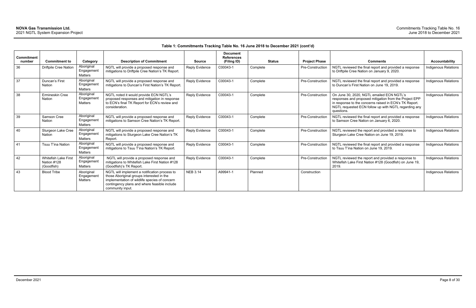| <b>Commitment</b> |                                                   |                                     |                                                                                                                                                                                                                 |                 | <b>Document</b><br><b>References</b> |               |                      |                                                                                                                                                                                                                                     |                             |
|-------------------|---------------------------------------------------|-------------------------------------|-----------------------------------------------------------------------------------------------------------------------------------------------------------------------------------------------------------------|-----------------|--------------------------------------|---------------|----------------------|-------------------------------------------------------------------------------------------------------------------------------------------------------------------------------------------------------------------------------------|-----------------------------|
| number            | <b>Commitment to</b>                              | Category                            | <b>Description of Commitment</b>                                                                                                                                                                                | <b>Source</b>   | (Filing ID)                          | <b>Status</b> | <b>Project Phase</b> | <b>Comments</b>                                                                                                                                                                                                                     | <b>Accountability</b>       |
| 36                | <b>Driftpile Cree Nation</b>                      | Aboriginal<br>Engagement<br>Matters | NGTL will provide a proposed response and<br>mitigations to Driftpile Cree Nation's TK Report.                                                                                                                  | Reply Evidence  | C00043-1                             | Complete      | Pre-Construction     | NGTL reviewed the final report and provided a response<br>to Driftpile Cree Nation on January 9, 2020.                                                                                                                              | Indigenous Relations        |
| 37                | Duncan's First<br>Nation                          | Aboriginal<br>Engagement<br>Matters | NGTL will provide a proposed response and<br>mitigations to Duncan's First Nation's TK Report.                                                                                                                  | Reply Evidence  | C00043-1                             | Complete      | Pre-Construction     | NGTL reviewed the final report and provided a response<br>to Duncan's First Nation on June 19, 2019.                                                                                                                                | <b>Indigenous Relations</b> |
| 38                | Ermineskin Cree<br><b>Nation</b>                  | Aboriginal<br>Engagemen<br>Matters  | NGTL noted it would provide ECN NGTL's<br>proposed responses and mitigation in response<br>to ECN's final TK Report for ECN's review and<br>consideration.                                                      | Reply Evidence  | C00043-1                             | Complete      | Pre-Construction     | On June 30, 2020, NGTL emailed ECN NGTL's<br>responses and proposed mitigation from the Project EPP<br>in response to the concerns raised in ECN's TK Report.<br>NGTL requested ECN follow up with NGTL regarding any<br>questions. | <b>Indigenous Relations</b> |
| 39                | Samson Cree<br>Nation                             | Aboriginal<br>Engagement<br>Matters | NGTL will provide a proposed response and<br>mitigations to Samson Cree Nation's TK Report.                                                                                                                     | Reply Evidence  | C00043-1                             | Complete      | Pre-Construction     | NGTL reviewed the final report and provided a response<br>to Samson Cree Nation on January 6, 2020.                                                                                                                                 | Indigenous Relations        |
| 40                | Sturgeon Lake Cree<br>Nation                      | Aboriginal<br>Engagemen<br>Matters  | NGTL will provide a proposed response and<br>mitigations to Sturgeon Lake Cree Nation's TK<br>Report.                                                                                                           | Reply Evidence  | C00043-1                             | Complete      | Pre-Construction     | NGTL reviewed the report and provided a response to<br>Sturgeon Lake Cree Nation on June 19, 2019.                                                                                                                                  | <b>Indigenous Relations</b> |
| 41                | Tsuu T'ina Nation                                 | Aboriginal<br>Engagement<br>Matters | NGTL will provide a proposed response and<br>mitigations to Tsuu T'ina Nation's TK Report.                                                                                                                      | Reply Evidence  | C00043-1                             | Complete      | Pre-Construction     | NGTL reviewed the final report and provided a response<br>to Tsuu T'ina Nation on June 19, 2019.                                                                                                                                    | <b>Indigenous Relations</b> |
| 42                | Whitefish Lake First<br>Nation #128<br>(Goodfish) | Aboriginal<br>Engagemen<br>Matters  | NGTL will provide a proposed response and<br>mitigations to Whitefish Lake First Nation #128<br>(Goodfish)'s TK Report.                                                                                         | Reply Evidence  | C00043-1                             | Complete      | Pre-Construction     | NGTL reviewed the report and provided a response to<br>Whitefish Lake First Nation #128 (Goodfish) on June 19,<br>2019.                                                                                                             | Indigenous Relations        |
| 43                | <b>Blood Tribe</b>                                | Aboriginal<br>Engagemen<br>Matters  | NGTL will implement a notification process to<br>those Aboriginal groups interested in the<br>implementation of wildlife species of concern<br>contingency plans and where feasible include<br>community input. | <b>NEB 3.14</b> | A99941-1                             | Planned       | Construction         |                                                                                                                                                                                                                                     | <b>Indigenous Relations</b> |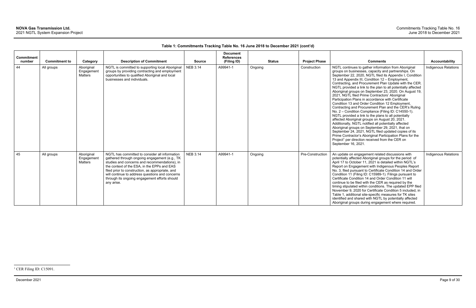## **Table 1: Commitments Tracking Table No. 16 June 2018 to December 2021 (cont'd)**

December 2021 Page 9 of 30

| <b>Commitment</b><br>number | <b>Commitment to</b> | Category                                   | <b>Description of Commitment</b>                                                                                                                                                                                                                                                                                                                                      | <b>Source</b>   | <b>Document</b><br><b>References</b><br>(Filing ID) | <b>Status</b> | <b>Project Phase</b> | <b>Comments</b>                                                                                                                                                                                                                                                                                                                                                                                                                                                                                                                                                                                                                                                                                                                                                                                                                                                                                                                                                                                                                                                                                                            | Accountability              |
|-----------------------------|----------------------|--------------------------------------------|-----------------------------------------------------------------------------------------------------------------------------------------------------------------------------------------------------------------------------------------------------------------------------------------------------------------------------------------------------------------------|-----------------|-----------------------------------------------------|---------------|----------------------|----------------------------------------------------------------------------------------------------------------------------------------------------------------------------------------------------------------------------------------------------------------------------------------------------------------------------------------------------------------------------------------------------------------------------------------------------------------------------------------------------------------------------------------------------------------------------------------------------------------------------------------------------------------------------------------------------------------------------------------------------------------------------------------------------------------------------------------------------------------------------------------------------------------------------------------------------------------------------------------------------------------------------------------------------------------------------------------------------------------------------|-----------------------------|
| 44                          | All groups           | Aboriginal<br>Engagement<br><b>Matters</b> | NGTL is committed to supporting local Aboriginal<br>groups by providing contracting and employment<br>opportunities to qualified Aboriginal and local<br>businesses and individuals.                                                                                                                                                                                  | <b>NEB 3.14</b> | A99941-1                                            | Ongoing       | Construction         | NGTL continues to gather information from Aboriginal<br>groups on businesses, capacity and partnerships. On<br>September 22, 2020, NGTL filed its Appendix I, Condition<br>13 and Appendix III, Condition 12 - Employment,<br>Contracting, and Procurement Plan Update with the CER.<br>NGTL provided a link to the plan to all potentially affected<br>Aboriginal groups on September 23, 2020. On August 19,<br>2021, NGTL filed Prime Contractors' Aboriginal<br>Participation Plans in accordance with Certificate<br>Condition 13 and Order Condition 12 Employment,<br>Contracting and Procurement Plan and the CER's Ruling<br>No. 2 - Condition Compliance (Filing ID: C14550-1).<br>NGTL provided a link to the plans to all potentially<br>affected Aboriginal groups on August 20, 2021.<br>Additionally, NGTL notified all potentially affected<br>Aboriginal groups on September 29, 2021, that on<br>September 24, 2021, NGTL filed updated copies of its<br>Prime Contractor's Aboriginal Participation Plans for the<br>Project <sup>1</sup> per direction received from the CER on<br>September 16, 2021. | <b>Indigenous Relations</b> |
| 45                          | All groups           | Aboriginal<br>Engagement<br>Matters        | NGTL has committed to consider all information<br>gathered through ongoing engagement (e.g., TK<br>studies and concerns and recommendations), in<br>the context of the ESA, in the EPPs and EAS<br>filed prior to construction, as appropriate, and<br>will continue to address questions and concerns<br>through its ongoing engagement efforts should<br>any arise. | <b>NEB 3.14</b> | A99941-1                                            | Ongoing       | Pre-Construction     | An update on engagement related discussions with<br>potentially affected Aboriginal groups for the period of<br>April 17 to October 11, 2021 is detailed within NGTL's<br>Report on Engagement with Indigenous Peoples Report<br>No. 3, filed pursuant to Certificate Condition 14 and Order<br>Condition 11 (Filing ID: C15989-1). Filings pursuant to<br>Certificate Condition 14 and Order Condition 11 will<br>continue to be filed with the CER as required by the<br>timing stipulated within conditions. The updated EPP filed<br>November 9, 2020 for Certificate Condition 5 included, in<br>Table 1, additional site-specific measures for TK sites<br>identified and shared with NGTL by potentially affected<br>Aboriginal groups during engagement where required.                                                                                                                                                                                                                                                                                                                                            | <b>Indigenous Relations</b> |

<sup>&</sup>lt;sup>1</sup> CER Filing ID: C15091.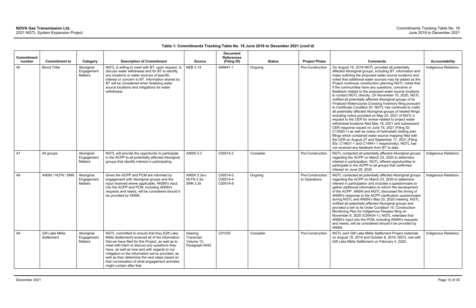| Commitment<br>number | <b>Commitment to</b>          | Category                            | <b>Description of Commitment</b>                                                                                                                                                                                                                                                                                                                                                                                                               | <b>Source</b>                                         | <b>Document</b><br><b>References</b><br>(Filing ID) |          | <b>Status</b> | <b>Project Phase</b>              | <b>Comments</b>                                                                                                                                                                                                                                                                                                                                                                                                                                                                                                                                                                                                                                                                                                                                                                                                                                                                                                                                                                                                                                                                                                                                                                                                                                | Accountability              |
|----------------------|-------------------------------|-------------------------------------|------------------------------------------------------------------------------------------------------------------------------------------------------------------------------------------------------------------------------------------------------------------------------------------------------------------------------------------------------------------------------------------------------------------------------------------------|-------------------------------------------------------|-----------------------------------------------------|----------|---------------|-----------------------------------|------------------------------------------------------------------------------------------------------------------------------------------------------------------------------------------------------------------------------------------------------------------------------------------------------------------------------------------------------------------------------------------------------------------------------------------------------------------------------------------------------------------------------------------------------------------------------------------------------------------------------------------------------------------------------------------------------------------------------------------------------------------------------------------------------------------------------------------------------------------------------------------------------------------------------------------------------------------------------------------------------------------------------------------------------------------------------------------------------------------------------------------------------------------------------------------------------------------------------------------------|-----------------------------|
| 46                   | <b>Blood Tribe</b>            | Aboriginal<br>Engagement<br>Matters | NGTL is willing to meet with BT, upon request, to<br>discuss water withdrawal and for BT to identify<br>any locations or water sources of specific<br>interest or concern to BT. Information shared by<br>BT will be considered when finalizing water<br>source locations and mitigations for water<br>withdrawal.                                                                                                                             | <b>NEB 3.14</b>                                       | A99941-1                                            | Ongoing  |               | Pre-Construction                  | On August 16, 2019 NGTL provided all potentially<br>affected Aboriginal groups, including BT, information and<br>maps outlining the proposed water source locations and<br>noted that additional water sources may be added as the<br>Project continues construction planning NGTL noted that<br>if the communities have any questions, concerns or<br>feedback related to the proposed water source locations<br>to contact NGTL directly. On November 10, 2020, NGTL<br>notified all potentially affected Aboriginal groups of its<br>Finalized Watercourse Crossing Inventory filing pursuant<br>to Certificate Condition 20. NGTL has continued to notify<br>all potentially affected Aboriginal groups of related filings<br>including notice provided on May 20, 2021 of NGTL's<br>request to the CER for review related to project water<br>withdrawal locations filed May 18, 2021 and subsequent<br>CER response issued on June 15, 2021 (Filing ID:<br>C13550-1) as well as notice of hydrostatic testing plan<br>filings which contained water source mapping filed with<br>the CER on August 27 and September 17, 2021 (Filing<br>IDs: C14631-1 and C14941-1 respectively). NGTL has<br>not received any feedback from BT to date. | Indigenous Relations        |
| 47                   | All groups                    | Aboriginal<br>Engagement<br>Matters | NGTL will provide the opportunity to participate<br>in the ACPP to all potentially affected Aboriginal<br>groups that identify interest in participating.                                                                                                                                                                                                                                                                                      | <b>ANSN 3.3</b>                                       | C00514-2                                            | Complete |               | Pre-Construction                  | NGTL contacted all potentially affected Aboriginal groups<br>regarding the ACPP on March 23, 2020 to determine<br>interest in participation. NGTL offered opportunities to<br>participate in the ACPP to all groups that confirmed<br>interest on June 29, 2020.                                                                                                                                                                                                                                                                                                                                                                                                                                                                                                                                                                                                                                                                                                                                                                                                                                                                                                                                                                               | <b>Indigenous Relations</b> |
| 48                   | ANSN / HLFN / SNN             | Aboriginal<br>Engagement<br>Matters | Given the ACPP and PCM are informed by<br>engagement with Aboriginal groups and the<br>input received where applicable, ANSN's input<br>into the ACPP and PCM, including ANSN's<br>requests and needs, will be considered should it<br>be provided by ANSN.                                                                                                                                                                                    | ANSN 3.3a-c<br>HLFN 3.3a<br><b>SNN 3.2k</b>           | C00514-2<br>C00514-4<br>C00514-8                    | Ongoing  |               | Pre-Construction<br>to Operations | NGTL contacted all potentially affected Aboriginal groups<br>regarding the ACPP on March 23, 2020 to determine<br>interest in participation and included a questionnaire to<br>gather additional information to inform the development<br>of the ACPP. ANSN and NGTL discussed the timing of<br>ANSN's response to the ACPP clarification questionnaire<br>during NGTL and ANSN's May 20, 2020 meeting. NGTL<br>notified all potentially affected Aboriginal groups and<br>provided a link to its Order Condition 10: Construction<br>Monitoring Plan for Indigenous Peoples filing on<br>November 9, 2020 (C09434-1). NGTL reiterates that<br>ANSN's input into the PCM, including ANSN's requests<br>and needs, will be considered should it be provided by<br>ANSN.                                                                                                                                                                                                                                                                                                                                                                                                                                                                         | <b>Indigenous Relations</b> |
| 49                   | Gift Lake Métis<br>Settlement | Aboriginal<br>Engagement<br>Matters | NGTL committed to ensure that they [Gift Lake<br>Métis Settlement] received all of the information<br>that we have filed for this Project, as well as to<br>meet with them to discuss any questions they<br>have, as well as how and with regards to our<br>mitigation or the information we've provided, as<br>well as then determine the next steps based on<br>that conversation of what engagement activities<br>might contain after that. | Hearing<br>Transcript<br>Volume 12,<br>Paragraph 6042 | C01035                                              | Complete |               | Pre-Construction                  | NGTL sent Gift Lake Métis Settlement Project materials<br>on August 19, 2019 and October 8, 2019. NGTL met with<br>Gift Lake Métis Settlement on February 4, 2020.                                                                                                                                                                                                                                                                                                                                                                                                                                                                                                                                                                                                                                                                                                                                                                                                                                                                                                                                                                                                                                                                             | <b>Indigenous Relations</b> |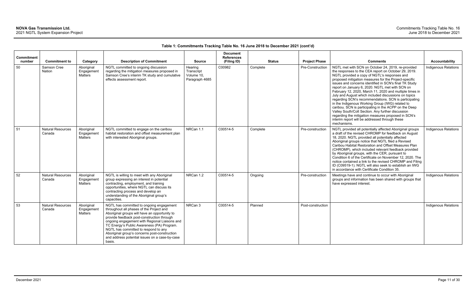| <b>Commitment</b> |                                    |                                     |                                                                                                                                                                                                                                                                                                                                                                                                                                         |                                                       | <b>Document</b><br><b>References</b> |               |                      |                                                                                                                                                                                                                                                                                                                                                                                                                                                                                                                                                                                                                                                                                                                                                                                                        |                             |
|-------------------|------------------------------------|-------------------------------------|-----------------------------------------------------------------------------------------------------------------------------------------------------------------------------------------------------------------------------------------------------------------------------------------------------------------------------------------------------------------------------------------------------------------------------------------|-------------------------------------------------------|--------------------------------------|---------------|----------------------|--------------------------------------------------------------------------------------------------------------------------------------------------------------------------------------------------------------------------------------------------------------------------------------------------------------------------------------------------------------------------------------------------------------------------------------------------------------------------------------------------------------------------------------------------------------------------------------------------------------------------------------------------------------------------------------------------------------------------------------------------------------------------------------------------------|-----------------------------|
| number            | <b>Commitment to</b>               | Category                            | <b>Description of Commitment</b>                                                                                                                                                                                                                                                                                                                                                                                                        | <b>Source</b>                                         | (Filing ID)                          | <b>Status</b> | <b>Project Phase</b> | <b>Comments</b>                                                                                                                                                                                                                                                                                                                                                                                                                                                                                                                                                                                                                                                                                                                                                                                        | Accountability              |
| 50                | Samson Cree<br><b>Nation</b>       | Aboriginal<br>Engagement<br>Matters | NGTL committed to ongoing discussion<br>regarding the mitigation measures proposed in<br>Samson Cree's interim TK study and cumulative<br>effects assessment report.                                                                                                                                                                                                                                                                    | Hearing<br>Transcript<br>Volume 10,<br>Paragraph 4685 | C00982                               | Complete      | Pre-Construction     | NGTL met with SCN on October 24, 2019, re-provided<br>the responses to the CEA report on October 29, 2019.<br>NGTL provided a copy of NGTL's responses and<br>proposed mitigation measures for the Project-specific<br>issues and concerns identified in SCN's final TK Study<br>report on January 6, 2020. NGTL met with SCN on<br>February 12, 2020, March 11, 2020 and multiple times in<br>July and August which included discussions on topics<br>regarding SCN's recommendations. SCN is participating<br>in the Indigenous Working Group (IWG) related to<br>caribou. SCN is participating in the ACPP on the Deep<br>Valley South/Colt Section. Any further discussion<br>regarding the mitigation measures proposed in SCN's<br>interim report will be addressed through these<br>mechanisms. | <b>Indigenous Relations</b> |
| 51                | <b>Natural Resources</b><br>Canada | Aboriginal<br>Engagement<br>Matters | NGTL committed to engage on the caribou<br>habitat restoration and offset measurement plan<br>with interested Aboriginal groups.                                                                                                                                                                                                                                                                                                        | NRCan 1.1                                             | C00514-5                             | Complete      | Pre-construction     | NGTL provided all potentially affected Aboriginal groups<br>a draft of the revised CHROMP for feedback on August<br>18, 2020. NGTL provided all potentially affected<br>Aboriginal groups notice that NGTL filed a Revised<br>Caribou Habitat Restoration and Offset Measures Plan<br>(CHROMP), which included relevant feedback provided<br>by Aboriginal groups, with the CER, pursuant to<br>Condition 6 of the Certificate on November 12, 2020. The<br>notice contained a link to the revised CHROMP and Filing<br>ID (C09519-1). NGTL will also seek to establish an IWG<br>in accordance with Certificate Condition 35.                                                                                                                                                                         | <b>Indigenous Relations</b> |
| 52                | <b>Natural Resources</b><br>Canada | Aboriginal<br>Engagement<br>Matters | NGTL is willing to meet with any Aboriginal<br>group expressing an interest in potential<br>contracting, employment, and training<br>opportunities, where NGTL can discuss its<br>contracting process and develop an<br>understanding of the Aboriginal group's<br>capacities.                                                                                                                                                          | NRCan 1.2                                             | C00514-5                             | Ongoing       | Pre-construction     | Meetings have and continue to occur with Aboriginal<br>groups and information has been shared with groups that<br>have expressed interest.                                                                                                                                                                                                                                                                                                                                                                                                                                                                                                                                                                                                                                                             | Indigenous Relations        |
| 53                | <b>Natural Resources</b><br>Canada | Aboriginal<br>Engagement<br>Matters | NGTL has committed to ongoing engagement<br>throughout all phases of the Project and<br>Aboriginal groups will have an opportunity to<br>provide feedback post-construction through<br>ongoing engagement with Regional Liaisons and<br>TC Energy's Public Awareness (PA) Program.<br>NGTL has committed to respond to any<br>Aboriginal group's concerns post-construction<br>and address potential issues on a case-by-case<br>basis. | NRCan 3                                               | C00514-5                             | Planned       | Post-construction    |                                                                                                                                                                                                                                                                                                                                                                                                                                                                                                                                                                                                                                                                                                                                                                                                        | Indigenous Relations        |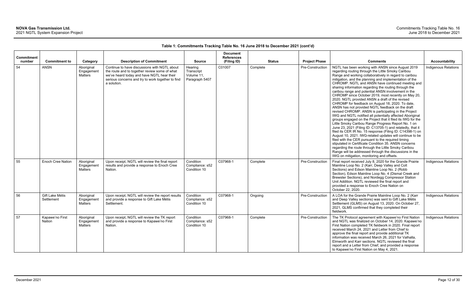| <b>Commitment</b> |                               |                                            |                                                                                                                                                                                                                 |                                                       | <b>Document</b><br><b>References</b> |               |                      |                                                                                                                                                                                                                                                                                                                                                                                                                                                                                                                                                                                                                                                                                                                                                                                                                                                                                                                                                                                                                                                                                                                                                                                                                                                                                                                                    |                             |
|-------------------|-------------------------------|--------------------------------------------|-----------------------------------------------------------------------------------------------------------------------------------------------------------------------------------------------------------------|-------------------------------------------------------|--------------------------------------|---------------|----------------------|------------------------------------------------------------------------------------------------------------------------------------------------------------------------------------------------------------------------------------------------------------------------------------------------------------------------------------------------------------------------------------------------------------------------------------------------------------------------------------------------------------------------------------------------------------------------------------------------------------------------------------------------------------------------------------------------------------------------------------------------------------------------------------------------------------------------------------------------------------------------------------------------------------------------------------------------------------------------------------------------------------------------------------------------------------------------------------------------------------------------------------------------------------------------------------------------------------------------------------------------------------------------------------------------------------------------------------|-----------------------------|
| number            | <b>Commitment to</b>          | Category                                   | <b>Description of Commitment</b>                                                                                                                                                                                | <b>Source</b>                                         | (Filing ID)                          | <b>Status</b> | <b>Project Phase</b> | <b>Comments</b>                                                                                                                                                                                                                                                                                                                                                                                                                                                                                                                                                                                                                                                                                                                                                                                                                                                                                                                                                                                                                                                                                                                                                                                                                                                                                                                    | Accountability              |
| 54                | <b>ANSN</b>                   | Aboriginal<br>Engagement<br>Matters        | Continue to have discussions with NGTL about<br>the route and to together review some of what<br>we've heard today and have NGTL hear their<br>serious concerns and try to work together to find<br>a solution. | Hearing<br>Transcript<br>Volume 11,<br>Paragraph 5407 | C01007                               | Complete      | Pre-Construction     | NGTL has been working with ANSN since August 2019<br>regarding routing through the Little Smoky Caribou<br>Range and working collaboratively in regard to caribou<br>mitigation, and the planning and implementation of the<br>CHROMP. NGTL and ANSN have continued meeting and<br>sharing information regarding the routing through the<br>caribou range and potential ANSN involvement in the<br>CHROMP since October 2019, most recently on May 20,<br>2020. NGTL provided ANSN a draft of the revised<br>CHROMP for feedback on August 18, 2020. To date,<br>ANSN has not provided NGTL feedback on the draft<br>revised CHROMP. ANSN is participating in the Project<br>IWG and NGTL notified all potentially affected Aboriginal<br>groups engaged on the Project that it filed its IWG for the<br>Little Smoky Caribou Range Progress Report No. 1 on<br>June 23, 2021 (Filing ID: C13705-1) and relatedly, that it<br>filed its CER IR No. 15 response (Filing ID: C14398-1) on<br>August 10, 2021. IWG-related updates will continue to be<br>filed with the CER pursuant to the required timing<br>stipulated in Certificate Condition 35. ANSN concerns<br>regarding the route through the Little Smoky Caribou<br>Range will be addressed through the discussions in the<br>IWG on mitigation, monitoring and offsets. | <b>Indigenous Relations</b> |
| 55                | Enoch Cree Nation             | Aboriginal<br>Engagement<br>Matters        | Upon receipt, NGTL will review the final report<br>results and provide a response to Enoch Cree<br>Nation.                                                                                                      | Condition<br>Compliance: s52<br>Condition 10          | C07968-1                             | Complete      | Pre-Construction     | Final report received July 8, 2020 for the Grande Prairie<br>Mainline Loop No. 2 (Karr, Deep Valley and Colt<br>Sections) and Edson Mainline Loop No. 2 (Robb<br>Section), Edson Mainline Loop No. 4 (Dismal Creek and<br>Brewster Sections), and Nordegg Compressor Station<br>Unit Addition. NGTL reviewed the final report and<br>provided a response to Enoch Cree Nation on<br>October 22, 2020.                                                                                                                                                                                                                                                                                                                                                                                                                                                                                                                                                                                                                                                                                                                                                                                                                                                                                                                              | <b>Indigenous Relations</b> |
| 56                | Gift Lake Métis<br>Settlement | Aboriginal<br>Engagement<br><b>Matters</b> | Upon receipt, NGTL will review the report results<br>and provide a response to Gift Lake Métis<br>Settlement.                                                                                                   | Condition<br>Compliance: s52<br>Condition 10          | C07968-1                             | Ongoing       | Pre-Construction     | A LOA for the Grande Prairie Mainline Loop No. 2 (Karr<br>and Deep Valley sections) was sent to Gift Lake Métis<br>Settlement (GLMS) on August 13, 2020. On October 27,<br>2021, GLMS confirmed that they completed their<br>fieldwork.                                                                                                                                                                                                                                                                                                                                                                                                                                                                                                                                                                                                                                                                                                                                                                                                                                                                                                                                                                                                                                                                                            | Indigenous Relations        |
| 57                | Kapawe'no First<br>Nation     | Aboriginal<br>Engagement<br><b>Matters</b> | Upon receipt, NGTL will review the TK report<br>and provide a response to Kapawe'no First<br>Nation.                                                                                                            | Condition<br>Compliance: s52<br>Condition 10          | C07968-1                             | Complete      | Pre-Construction     | The TK Protocol agreement with Kapawe'no First Nation<br>and NGTL was finalized on October 14, 2020. Kapawe'no<br>First Nation completed TK fieldwork in 2020. Final report<br>received March 24, 2021 and Letter from Chief to<br>approve the final report and provide additional TK<br>information was received March 26, 2021 for Valhalla,<br>Elmworth and Karr sections. NGTL reviewed the final<br>report and a Letter from Chief, and provided a response<br>to Kapawe'no First Nation on May 4, 2021.                                                                                                                                                                                                                                                                                                                                                                                                                                                                                                                                                                                                                                                                                                                                                                                                                      | Indigenous Relations        |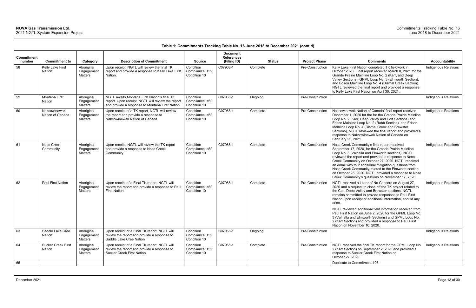| <b>Commitment</b> |                                     |                                            |                                                                                                                                                     |                                              | <b>Document</b><br><b>References</b> |               |                      |                                                                                                                                                                                                                                                                                                                                                                                                                                                                                                                                                                              |                             |
|-------------------|-------------------------------------|--------------------------------------------|-----------------------------------------------------------------------------------------------------------------------------------------------------|----------------------------------------------|--------------------------------------|---------------|----------------------|------------------------------------------------------------------------------------------------------------------------------------------------------------------------------------------------------------------------------------------------------------------------------------------------------------------------------------------------------------------------------------------------------------------------------------------------------------------------------------------------------------------------------------------------------------------------------|-----------------------------|
| number            | <b>Commitment to</b>                | Category                                   | <b>Description of Commitment</b>                                                                                                                    | <b>Source</b>                                | (Filing ID)                          | <b>Status</b> | <b>Project Phase</b> | <b>Comments</b>                                                                                                                                                                                                                                                                                                                                                                                                                                                                                                                                                              | <b>Accountability</b>       |
| 58                | Kelly Lake First<br>Nation          | Aboriginal<br>Engagement<br><b>Matters</b> | Upon receipt, NGTL will review the final TK<br>report and provide a response to Kelly Lake First<br>Nation.                                         | Condition<br>Compliance: s52<br>Condition 10 | C07968-1                             | Complete      | Pre-Construction     | Kelly Lake First Nation completed TK fieldwork in<br>October 2020. Final report received March 8, 2021 for the<br>Grande Prairie Mainline Loop No. 2 (Karr, and Deep<br>Valley Sections); GPML Loop No. 3 (Elmworth Section);<br>and Edson Mainline Loop No. 4 (Dismal Creek Section).<br>NGTL reviewed the final report and provided a response<br>to Kelly Lake First Nation on April 30, 2021.                                                                                                                                                                            | <b>Indigenous Relations</b> |
| 59                | Montana First<br>Nation             | Aboriginal<br>Engagement<br>Matters        | NGTL awaits Montana First Nation's final TK<br>report. Upon receipt, NGTL will review the report<br>and provide a response to Montana First Nation. | Condition<br>Compliance: s52<br>Condition 10 | C07968-1                             | Ongoing       | Pre-Construction     |                                                                                                                                                                                                                                                                                                                                                                                                                                                                                                                                                                              | <b>Indigenous Relations</b> |
| 60                | Nakcowinewak<br>Nation of Canada    | Aboriginal<br>Engagement<br><b>Matters</b> | Upon receipt of a TK report, NGTL will review<br>the report and provide a response to<br>Nakcowinewak Nation of Canada.                             | Condition<br>Compliance: s52<br>Condition 10 | C07968-1                             | Complete      | Pre-Construction     | Nakcowinewak Nation of Canada' final report received<br>December 1, 2020 for the for the Grande Prairie Mainline<br>Loop No. 2 (Karr, Deep Valley and Colt Sections) and<br>Edson Mainline Loop No. 2 (Robb Section), and Edson<br>Mainline Loop No. 4 (Dismal Creek and Brewster<br>Sections), NGTL reviewed the final report and provided a<br>response to Nakcowinewak Nation of Canada on<br>February 22, 2021.                                                                                                                                                          | <b>Indigenous Relations</b> |
| 61                | Nose Creek<br>Community             | Aboriginal<br>Engagement<br><b>Matters</b> | Upon receipt, NGTL will review the TK report<br>and provide a response to Nose Creek<br>Community.                                                  | Condition<br>Compliance: s52<br>Condition 10 | C07968-1                             | Complete      | Pre-Construction     | Nose Creek Community's final report received<br>September 17, 2020, for the Grande Prairie Mainline<br>Loop No. 3 (Valhalla and Elmworth sections). NGTL<br>reviewed the report and provided a response to Nose<br>Creek Community on October 27, 2020. NGTL received<br>an email with four additional mitigation questions from<br>Nose Creek Community related to the Elmworth section<br>on October 28, 2020. NGTL provided a response to Nose<br>Creek Community's questions on November 17, 2020                                                                        | Indigenous Relations        |
| 62                | Paul First Nation                   | Aboriginal<br>Engagement<br><b>Matters</b> | Upon receipt of a Final TK report, NGTL will<br>review the report and provide a response to Paul<br>First Nation.                                   | Condition<br>Compliance: s52<br>Condition 10 | C07968-1                             | Complete      | Pre-Construction     | NGTL received a Letter of No Concern on August 27,<br>2020 and a request to close off the TK project related to<br>the Colt, Deep Valley and Brewster sections. NGTL<br>remains committed to provide responses to Paul First<br>Nation upon receipt of additional information, should any<br>arise.<br>NGTL reviewed additional field information received from<br>Paul First Nation on June 2, 2020 for the GPML Loop No.<br>3 (Valhalla and Elmworth Sections) and GPML Loop No.<br>2 (Karr Section) and provided a response to Paul First<br>Nation on November 10, 2020. | <b>Indigenous Relations</b> |
| 63                | Saddle Lake Cree<br>Nation          | Aboriginal<br>Engagement<br>Matters        | Upon receipt of a Final TK report, NGTL will<br>review the report and provide a response to<br>Saddle Lake Cree Nation                              | Condition<br>Compliance: s52<br>Condition 10 | C07968-1                             | Ongoing       | Pre-Construction     |                                                                                                                                                                                                                                                                                                                                                                                                                                                                                                                                                                              | Indigenous Relations        |
| 64                | <b>Sucker Creek First</b><br>Nation | Aboriginal<br>Engagement<br>Matters        | Upon receipt of a Final TK report, NGTL will<br>review the report and provide a response to<br>Sucker Creek First Nation.                           | Condition<br>Compliance: s52<br>Condition 10 | C07968-1                             | Complete      | Pre-Construction     | NGTL received the final TK report for the GPML Loop No.<br>2 (Karr Section) on September 2, 2020 and provided a<br>response to Sucker Creek First Nation on<br>October 27, 2020.                                                                                                                                                                                                                                                                                                                                                                                             | Indigenous Relations        |
| 65                |                                     |                                            |                                                                                                                                                     |                                              |                                      |               |                      | Duplicate to Commitment 106.                                                                                                                                                                                                                                                                                                                                                                                                                                                                                                                                                 |                             |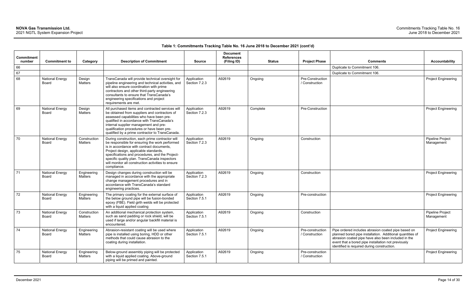| Commitment   |                                 |                         |                                                                                                                                                                                                                                                                                                                                                                  |                              | <b>Document</b><br><b>References</b> |               |                                    |                                                                                                                                                                                                                                                                               |                                       |
|--------------|---------------------------------|-------------------------|------------------------------------------------------------------------------------------------------------------------------------------------------------------------------------------------------------------------------------------------------------------------------------------------------------------------------------------------------------------|------------------------------|--------------------------------------|---------------|------------------------------------|-------------------------------------------------------------------------------------------------------------------------------------------------------------------------------------------------------------------------------------------------------------------------------|---------------------------------------|
| number<br>66 | <b>Commitment to</b>            | Category                | <b>Description of Commitment</b>                                                                                                                                                                                                                                                                                                                                 | <b>Source</b>                | (Filing ID)                          | <b>Status</b> | <b>Project Phase</b>               | <b>Comments</b><br>Duplicate to Commitment 106.                                                                                                                                                                                                                               | <b>Accountability</b>                 |
| 67           |                                 |                         |                                                                                                                                                                                                                                                                                                                                                                  |                              |                                      |               |                                    | Duplicate to Commitment 106.                                                                                                                                                                                                                                                  |                                       |
| 68           | <b>National Energy</b><br>Board | Design<br>Matters       | TransCanada will provide technical oversight for<br>pipeline engineering and technical activities, and<br>will also ensure coordination with prime<br>contractors and other third-party engineering<br>consultants to ensure that TransCanada's<br>engineering specifications and project<br>requirements are met.                                               | Application<br>Section 7.2.3 | A92619                               | Ongoing       | Pre-Construction<br>/ Construction |                                                                                                                                                                                                                                                                               | <b>Project Engineering</b>            |
| 69           | <b>National Energy</b><br>Board | Design<br>Matters       | All purchased items and contracted services will<br>be obtained from suppliers and contractors of<br>assessed capabilities who have been pre-<br>qualified in accordance with TransCanada's<br>internal supplier management and pre-<br>qualification procedures or have been pre-<br>qualified by a prime contractor to TransCanada.                            | Application<br>Section 7.2.3 | A92619                               | Complete      | Pre-Construction                   |                                                                                                                                                                                                                                                                               | <b>Project Engineering</b>            |
| 70           | <b>National Energy</b><br>Board | Construction<br>Matters | During construction, each prime contractor will<br>be responsible for ensuring the work performed<br>is in accordance with contract documents,<br>Project design, applicable standards,<br>specifications and procedures, and the Project-<br>specific quality plan. TransCanada inspectors<br>will monitor all construction activities to ensure<br>compliance. | Application<br>Section 7.2.3 | A92619                               | Ongoing       | Construction                       |                                                                                                                                                                                                                                                                               | Pipeline Project<br>Management        |
| 71           | <b>National Energy</b><br>Board | Engineering<br>Matters  | Design changes during construction will be<br>managed in accordance with the appropriate<br>change management procedures and in<br>accordance with TransCanada's standard<br>engineering practices.                                                                                                                                                              | Application<br>Section 7.2.3 | A92619                               | Ongoing       | Construction                       |                                                                                                                                                                                                                                                                               | <b>Project Engineering</b>            |
| 72           | <b>National Energy</b><br>Board | Engineering<br>Matters  | The primary coating for the external surface of<br>the below ground pipe will be fusion-bonded<br>epoxy (FBE). Field girth welds will be protected<br>with a liquid applied coating                                                                                                                                                                              | Application<br>Section 7.5.1 | A92619                               | Ongoing       | Pre-construction                   |                                                                                                                                                                                                                                                                               | <b>Project Engineering</b>            |
| 73           | <b>National Energy</b><br>Board | Construction<br>Matters | An additional mechanical protection system,<br>such as sand padding or rock shield, will be<br>used if large and/or angular backfill material is<br>encountered.                                                                                                                                                                                                 | Application<br>Section 7.5.1 | A92619                               | Ongoing       | Construction                       |                                                                                                                                                                                                                                                                               | <b>Pipeline Project</b><br>Management |
| 74           | <b>National Energy</b><br>Board | Engineering<br>Matters  | Abrasion-resistant coating will be used where<br>pipe is installed using boring, HDD or other<br>methods that could cause abrasion to the<br>coating during installation.                                                                                                                                                                                        | Application<br>Section 7.5.1 | A92619                               | Ongoing       | Pre-construction<br>/ Construction | Pipe ordered includes abrasion coated pipe based on<br>planned bored pipe installation. Additional quantities of<br>abrasion coated pipe have also been included in the<br>event that a bored pipe installation not previously<br>identified is required during construction. | <b>Project Engineering</b>            |
| 75           | <b>National Energy</b><br>Board | Engineering<br>Matters  | Below-ground assembly piping will be protected<br>with a liquid applied coating. Above-ground<br>piping will be primed and painted.                                                                                                                                                                                                                              | Application<br>Section 7.5.1 | A92619                               | Ongoing       | Pre-construction<br>/ Construction |                                                                                                                                                                                                                                                                               | <b>Project Engineering</b>            |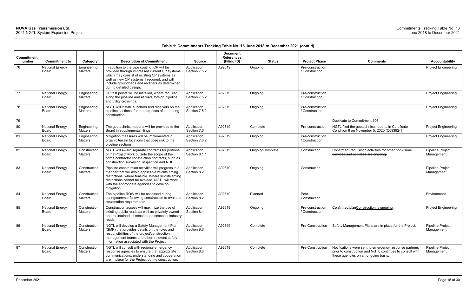| Commitment<br>number | <b>Commitment to</b>            | Category                | <b>Description of Commitment</b>                                                                                                                                                                                                                                             | <b>Source</b>                | <b>Document</b><br><b>References</b><br>(Filing ID) | <b>Status</b>    | <b>Project Phase</b>               | <b>Comments</b>                                                                                                                                           | <b>Accountability</b>                 |
|----------------------|---------------------------------|-------------------------|------------------------------------------------------------------------------------------------------------------------------------------------------------------------------------------------------------------------------------------------------------------------------|------------------------------|-----------------------------------------------------|------------------|------------------------------------|-----------------------------------------------------------------------------------------------------------------------------------------------------------|---------------------------------------|
| 76                   | <b>National Energy</b><br>Board | Engineering<br>Matters  | In addition to the pipe coating, CP will be<br>provided through impressed current CP systems,<br>which may consist of existing CP systems as<br>well as new CP systems if required, and will<br>include groundbeds and rectifiers as determined<br>during detailed design.   | Application<br>Section 7.5.2 | A92619                                              | Ongoing          | Pre-construction<br>/ Construction |                                                                                                                                                           | Project Engineering                   |
| 77                   | <b>National Energy</b><br>Board | Engineering<br>Matters  | CP test points will be installed, where required,<br>along the pipeline and at road, foreign pipeline<br>and utility crossings.                                                                                                                                              | Application<br>Section 7.5.2 | A92619                                              | Ongoing          | Pre-construction<br>/ Construction |                                                                                                                                                           | Project Engineering                   |
| 78                   | <b>National Energy</b><br>Board | Engineering<br>Matters  | NGTL will install launchers and receivers on the<br>pipeline sections, for the purposes of ILI, during<br>construction                                                                                                                                                       | Application<br>Section 7.5.2 | A92619                                              | Ongoing          | Pre-construction<br>/ Construction |                                                                                                                                                           | Project Engineering                   |
| 79                   |                                 |                         |                                                                                                                                                                                                                                                                              |                              |                                                     |                  |                                    | Duplicate to Commitment 106.                                                                                                                              |                                       |
| 80                   | <b>National Energy</b><br>Board | Engineering<br>Matters  | The geotechnical reports will be provided to the<br>Board in supplemental filings.                                                                                                                                                                                           | Application<br>Section 7.6   | A92619                                              | Complete         | Pre-construction                   | NGTL filed the geotechnical reports in Certificate<br>Condition 8 on November 5, 2020 (C09392-1).                                                         | Project Engineering                   |
| 81                   | <b>National Energy</b><br>Board | Engineering<br>Matters  | Mitigation measures will be implemented in<br>organic terrain locations that pose risk to the<br>pipeline sections.                                                                                                                                                          | Application<br>Section 7.6.2 | A92619                                              | Ongoing          | Pre-construction<br>/ Construction |                                                                                                                                                           | Project Engineering                   |
| 82                   | <b>National Energy</b><br>Board | Construction<br>Matters | NGTL will award separate contracts for portions<br>of the Project work outside the scope of the<br>prime contractor construction contracts, such as<br>construction surveying, inspection and NDE.                                                                           | Application<br>Section 8.1.1 | A92619                                              | Ongoing Complete | Construction                       | Confirmed, requisition activities for other non-Prime<br>services and activities are ongoing.                                                             | Pipeline Project<br>Management        |
| 83                   | <b>National Energy</b><br>Board | Construction<br>Matters | Pipeline construction activities will progress in a<br>manner that will avoid applicable wildlife timing<br>restrictions, where feasible. Where wildlife timing<br>restrictions cannot be avoided, NGTL will work<br>with the appropriate agencies to develop<br>mitigation. | Application<br>Section 8.2   | A92619                                              | Ongoing          | Construction                       |                                                                                                                                                           | Pipeline Project<br>Management        |
| 84                   | <b>National Energy</b><br>Board | Construction<br>Matters | The pipeline ROW will be assessed during<br>spring/summer following construction to evaluate<br>reclamation requirements.                                                                                                                                                    | Application<br>Section 8.2   | A92619                                              | Planned          | Post-<br>Construction              |                                                                                                                                                           | Environment                           |
| 85                   | <b>National Energy</b><br>Board | Construction<br>Matters | Construction access will maximize the use of<br>existing public roads as well as privately owned<br>and maintained all-season and seasonal industry<br>roads                                                                                                                 | Application<br>Section 8.4   | A92619                                              | Ongoing          | Pre-construction<br>/ Construction | Confirmed planConstruction is ongoing.                                                                                                                    | Project Engineering                   |
| 86                   | <b>National Energy</b><br>Board | Construction<br>Matters | NGTL will develop a Safety Management Plan<br>(SMP) that provides details on the roles and<br>responsibilities of the project/construction<br>management teams and other, relevant safety<br>information associated with the Project.                                        | Application<br>Section 8.6   | A92619                                              | Complete         | Pre-Construction                   | Safety Management Plans are in place for the Project.                                                                                                     | Pipeline Project<br>Management        |
| 87                   | <b>National Energy</b><br>Board | Construction<br>Matters | NGTL will consult with regional emergency<br>response agencies to ensure that appropriate<br>communications, understanding and cooperation<br>are in place for the Project during construction.                                                                              | Application<br>Section 8.6   | A92619                                              | Complete         | Pre-Construction                   | Notifications were sent to emergency response partners<br>prior to construction and NGTL continues to consult with<br>these agencies on an ongoing basis. | <b>Pipeline Project</b><br>Management |

| <b>Project Phase</b>               | <b>Comments</b>                                                                                                                                           | <b>Accountability</b>          |
|------------------------------------|-----------------------------------------------------------------------------------------------------------------------------------------------------------|--------------------------------|
|                                    |                                                                                                                                                           |                                |
| Pre-construction<br>/ Construction |                                                                                                                                                           | <b>Project Engineering</b>     |
| Pre-construction<br>/ Construction |                                                                                                                                                           | <b>Project Engineering</b>     |
| Pre-construction<br>/ Construction |                                                                                                                                                           | <b>Project Engineering</b>     |
|                                    | Duplicate to Commitment 106.                                                                                                                              |                                |
| Pre-construction                   | NGTL filed the geotechnical reports in Certificate<br>Condition 8 on November 5, 2020 (C09392-1).                                                         | <b>Project Engineering</b>     |
| Pre-construction<br>/ Construction |                                                                                                                                                           | <b>Project Engineering</b>     |
| Construction                       | Confirmed, requisition activities for other non-Prime<br>services and activities are ongoing.                                                             | Pipeline Project<br>Management |
| Construction                       |                                                                                                                                                           | Pipeline Project<br>Management |
| Post-<br>Construction              |                                                                                                                                                           | Environment                    |
| Pre-construction<br>/ Construction | Confirmed planConstruction is ongoing.                                                                                                                    | <b>Project Engineering</b>     |
| Pre-Construction                   | Safety Management Plans are in place for the Project.                                                                                                     | Pipeline Project<br>Management |
| Pre-Construction                   | Notifications were sent to emergency response partners<br>prior to construction and NGTL continues to consult with<br>these agencies on an ongoing basis. | Pipeline Project<br>Management |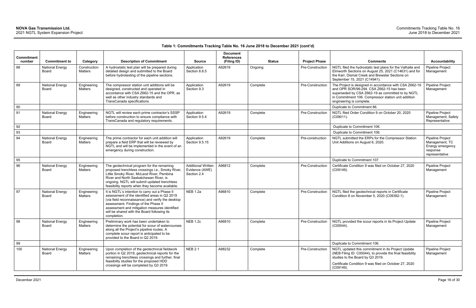| Commitment<br>number | <b>Commitment to</b>            |                                            | <b>Description of Commitment</b>                                                                                                                                                                                                                                                                            | <b>Source</b>                                              | <b>Document</b><br><b>References</b><br>(Filing ID) |          | <b>Status</b> | <b>Project Phase</b> | <b>Comments</b>                                                                                                                                                                                                                            | <b>Accountability</b>                                                                |
|----------------------|---------------------------------|--------------------------------------------|-------------------------------------------------------------------------------------------------------------------------------------------------------------------------------------------------------------------------------------------------------------------------------------------------------------|------------------------------------------------------------|-----------------------------------------------------|----------|---------------|----------------------|--------------------------------------------------------------------------------------------------------------------------------------------------------------------------------------------------------------------------------------------|--------------------------------------------------------------------------------------|
| 88                   | <b>National Energy</b><br>Board | Category<br>Construction<br><b>Matters</b> | A hydrostatic test plan will be prepared during<br>detailed design and submitted to the Board<br>before hydrotesting of the pipeline sections.                                                                                                                                                              | Application<br>Section 8.8.5                               | A92619                                              | Ongoing  |               | Pre-Construction     | NGTL filed the hydrostatic test plans for the Valhalla and<br>Elmworth Sections on August 25, 2021 (C14631) and for<br>the Karr, Dismal Creek and Brewster Sections on<br>September 15, 2021 (C14941).                                     | <b>Pipeline Project</b><br>Management                                                |
| 89                   | <b>National Energy</b><br>Board | Engineering<br><b>Matters</b>              | The compressor station unit additions will be<br>designed, constructed and operated in<br>accordance with CSA Z662-15 and the OPR, as<br>well as other industry standards and<br><b>TransCanada specifications</b>                                                                                          | Application<br>Section 9.3                                 | A92619                                              | Complete |               | Pre-Construction     | The Project is designed in accordance with CSA Z662-19<br>and OPR SOR/99-294. CSA Z662-15 has been<br>superseded by CSA Z662-19 as committed to by NGTL<br>in Commitment 106. Compressor station unit addition<br>engineering is complete. | Pipeline Project<br>Management                                                       |
| 90                   |                                 |                                            |                                                                                                                                                                                                                                                                                                             |                                                            |                                                     |          |               |                      | Duplicate to Commitment 86.                                                                                                                                                                                                                |                                                                                      |
| 91                   | <b>National Energy</b><br>Board | Engineering<br>Matters                     | NGTL will review each prime contractor's SSSP<br>before construction to ensure compliance with<br>TransCanada and regulatory requirements.                                                                                                                                                                  | Application<br>Section 9.5.4                               | A92619                                              | Complete |               | Pre-Construction     | NGTL filed Order Condition 9 on October 20, 2020<br>(C09011).                                                                                                                                                                              | Pipeline Project<br>Management, Safety<br>Representative                             |
| 92                   |                                 |                                            |                                                                                                                                                                                                                                                                                                             |                                                            |                                                     |          |               |                      | Duplicate to Commitment 106.                                                                                                                                                                                                               |                                                                                      |
| 93                   |                                 |                                            |                                                                                                                                                                                                                                                                                                             |                                                            |                                                     |          |               |                      | Duplicate to Commitment 106.                                                                                                                                                                                                               |                                                                                      |
| 94                   | <b>National Energy</b><br>Board | Engineering<br><b>Matters</b>              | The prime contractor for each unit addition will<br>prepare a field ERP that will be reviewed by<br>NGTL and will be implemented in the event of an<br>emergency during construction.                                                                                                                       | Application<br>Section 9.5.15                              | A92619                                              | Complete |               | Pre-construction     | NGTL submitted the ERPs for the Compressor Station<br>Unit Additions on August 6, 2020.                                                                                                                                                    | Pipeline Project<br>Management, TC<br>Energy emergency<br>response<br>representative |
| 95                   |                                 |                                            |                                                                                                                                                                                                                                                                                                             |                                                            |                                                     |          |               |                      | Duplicate to Commitment 107.                                                                                                                                                                                                               |                                                                                      |
| 96                   | <b>National Energy</b><br>Board | Engineering<br><b>Matters</b>              | The geotechnical program for the remaining<br>proposed trenchless crossings i.e., Smoky River,<br>Little Smoky River, McLeod River, Pembina<br>River and North Saskatchewan River, is<br>ongoing. NGTL will submit updated trenchless<br>feasibility reports when they become available.                    | <b>Additional Written</b><br>Evidence (AWE)<br>Section 2.4 | A96812                                              | Complete |               | Pre-Construction     | Certificate Condition 9 was filed on October 27, 2020<br>(C09149).                                                                                                                                                                         | Pipeline Project<br>Management                                                       |
| 97                   | <b>National Energy</b><br>Board | Engineering<br><b>Matters</b>              | It is NGTL's intention to carry out a Phase II<br>assessment of the identified areas in Q2 2019<br>(via field reconnaissance) and verify the desktop<br>assessment. Findings of the Phase II<br>assessment and mitigation measures identified<br>will be shared with the Board following its<br>completion. | <b>NEB 1.2a</b>                                            | A96810                                              | Complete |               | Pre-Construction     | NGTL filed the geotechnical reports in Certificate<br>Condition 8 on November 5, 2020 (C09392-1).                                                                                                                                          | Pipeline Project<br>Management                                                       |
| 98                   | <b>National Energy</b><br>Board | Engineering<br>Matters                     | Preliminary work has been undertaken to<br>determine the potential for scour of watercourses<br>along all the Project's pipeline routes. A<br>complete scour report is anticipated to be<br>provided to the Board in Q2 2019.                                                                               | <b>NEB 1.2c</b>                                            | A96810                                              | Complete |               | Pre-Construction     | NGTL provided the scour reports in its Project Update<br>$(C00044)$ .                                                                                                                                                                      | Pipeline Project<br>Management                                                       |
| 99                   |                                 |                                            |                                                                                                                                                                                                                                                                                                             |                                                            |                                                     |          |               |                      | Duplicate to Commitment 106.                                                                                                                                                                                                               |                                                                                      |
| 100                  | <b>National Energy</b><br>Board | Engineering<br>Matters                     | Upon completion of the geotechnical fieldwork<br>portion in Q2 2019, geotechnical reports for the<br>remaining trenchless crossings and further, final<br>feasibility studies for the proposed HDD<br>crossings will be completed by Q3 2019.                                                               | <b>NEB 2.1</b>                                             | A98232                                              | Complete |               | Pre-Construction     | NGTL updated this commitment in its Project Update<br>(NEB Filing ID: C00044), to provide the final feasibility<br>studies to the Board by Q3 2019.<br>Certificate Condition 9 was filed on October 27, 2020<br>(C09149).                  | Pipeline Project<br>Management                                                       |
|                      |                                 |                                            |                                                                                                                                                                                                                                                                                                             |                                                            |                                                     |          |               |                      |                                                                                                                                                                                                                                            |                                                                                      |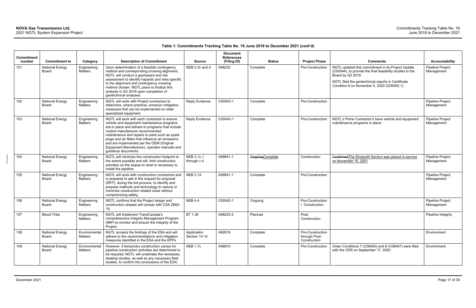| <b>Commitment</b><br>number | <b>Commitment to</b>                   | Category                 | <b>Description of Commitment</b>                                                                                                                                                                                                                                                                                                                                                                                 | <b>Source</b>                    | <b>Document</b><br><b>References</b><br>(Filing ID) | <b>Status</b>           | <b>Project Phase</b>                              | <b>Comments</b>                                                                                                                                                                                                                           | <b>Accountability</b>                 |
|-----------------------------|----------------------------------------|--------------------------|------------------------------------------------------------------------------------------------------------------------------------------------------------------------------------------------------------------------------------------------------------------------------------------------------------------------------------------------------------------------------------------------------------------|----------------------------------|-----------------------------------------------------|-------------------------|---------------------------------------------------|-------------------------------------------------------------------------------------------------------------------------------------------------------------------------------------------------------------------------------------------|---------------------------------------|
| 101                         | <b>National Energy</b><br>Board        | Engineering<br>Matters   | Upon determination of a feasible contingency<br>method and corresponding crossing alignment,<br>NGTL will conduct a geohazard and risk<br>assessment to identify hazards and risks specific<br>to the alignment and contingency crossing<br>method chosen. NGTL plans to finalize this<br>analysis in Q3 2019 upon completion of<br>geotechnical analyses.                                                       | NEB 2.3c and d                   | A98232                                              | Complete                | Pre-Construction                                  | NGTL updated this commitment in its Project Update<br>(C00044), to provide the final feasibility studies to the<br>Board by Q3 2019.<br>NGTL filed the geotechnical reports in Certificate<br>Condition 8 on November 5, 2020 (C09392-1). | Pipeline Project<br>Management        |
| 102                         | <b>National Energy</b><br>Board        | Engineering<br>Matters   | NGTL will work with Project contractors to<br>determine, where practical, emission mitigation<br>measures that can be implemented on older<br>specialized equipment.                                                                                                                                                                                                                                             | <b>Reply Evidence</b>            | C00043-1                                            | Complete                | Pre-Construction                                  |                                                                                                                                                                                                                                           | Pipeline Project<br>Management        |
| 103                         | <b>National Energy</b><br>Board        | Engineering<br>Matters   | NGTL will work with each contractor to ensure<br>vehicle and equipment maintenance programs<br>are in place and adhere to programs that include<br>routine manufacturer recommended<br>maintenance and repairs to parts such as spark<br>plugs and air filters that influence air emissions<br>and are implemented per the OEM (Original<br>Equipment Manufacturer), operator manuals and<br>guidance documents. | <b>Reply Evidence</b>            | C00043-1                                            | Complete                | Pre-Construction                                  | NGTL's Prime Contractor's have vehicle and equipment<br>maintenance programs in place.                                                                                                                                                    | <b>Pipeline Project</b><br>Management |
| 104                         | <b>National Energy</b><br><b>Board</b> | Engineering<br>Matters   | NGTL will minimize the construction footprint to<br>the extent possible and will, limit construction<br>activities on the slopes to what is necessary to<br>install the pipeline.                                                                                                                                                                                                                                | <b>NEB 3.1c.1</b><br>through c.4 | A99941-1                                            | <b>Ongoing Complete</b> | Construction                                      | Confirmed The Elmworth Section was placed in-service<br>on November 10, 2021                                                                                                                                                              | <b>Pipeline Project</b><br>Management |
| 105                         | <b>National Energy</b><br>Board        | Engineering<br>Matters   | NGTL will work with construction contractors and<br>is prepared to ask in the request for proposal<br>(RFP), during the bid process, to identify and<br>propose methods and technology to reduce or<br>minimize construction related noise without<br>compromising safety.                                                                                                                                       | <b>NEB 3.14</b>                  | A99941-1                                            | Complete                | Pre-Construction                                  |                                                                                                                                                                                                                                           | Pipeline Project<br>Management        |
| 106                         | <b>National Energy</b><br>Board        | Engineering<br>Matters   | NGTL confirms that the Project design and<br>construction phases will comply with CSA Z662-<br>19.                                                                                                                                                                                                                                                                                                               | <b>NEB 4.4</b>                   | C00542-1                                            | Ongoing                 | Pre-Construction<br>/ Construction                |                                                                                                                                                                                                                                           | Pipeline Project<br>Management        |
| 107                         | <b>Blood Tribe</b>                     | Engineering<br>Matters   | NGTL will implement TransCanada's<br>comprehensive Integrity Management Program<br>(IMP) to monitor and ensure the integrity of the<br>Project.                                                                                                                                                                                                                                                                  | BT 1.36                          | A98233-3                                            | Planned                 | Post-<br>Construction                             |                                                                                                                                                                                                                                           | Pipeline Integrity                    |
| 108                         | <b>National Energy</b><br>Board        | Environmental<br>Matters | NGTL accepts the findings of the ESA and will<br>adhere to the recommendations and mitigation<br>measures identified in the ESA and the EPPs.                                                                                                                                                                                                                                                                    | Application<br>Section 14.10     | A92619                                              | Complete                | Pre-Construction<br>through Post-<br>Construction |                                                                                                                                                                                                                                           | Environment                           |
| 109                         | <b>National Energy</b><br>Board        | Environmental<br>Matters | However, if temporary construction camps for<br>pipeline construction activities are determined to<br>be required, NGTL will undertake the necessary<br>desktop studies, as well as any necessary field<br>studies, to confirm the conclusions of the ESA.                                                                                                                                                       | <b>NEB 1.7c</b>                  | A96810                                              | Complete                | Pre-Construction                                  | Order Conditions 7 (C08400) and 8 (C08407) were filed<br>with the CER on September 17, 2020.                                                                                                                                              | Environment                           |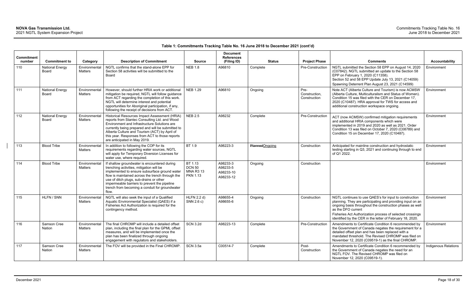| <b>Commitment</b><br>number | <b>Commitment to</b>                   | Category                        | <b>Description of Commitment</b>                                                                                                                                                                                                                                                                                                                    | <b>Source</b>                                                   | <b>Document</b><br><b>References</b><br>(Filing ID) | <b>Status</b>         | <b>Project Phase</b>                  | <b>Comments</b>                                                                                                                                                                                                                                                                                                                  | <b>Accountability</b>       |
|-----------------------------|----------------------------------------|---------------------------------|-----------------------------------------------------------------------------------------------------------------------------------------------------------------------------------------------------------------------------------------------------------------------------------------------------------------------------------------------------|-----------------------------------------------------------------|-----------------------------------------------------|-----------------------|---------------------------------------|----------------------------------------------------------------------------------------------------------------------------------------------------------------------------------------------------------------------------------------------------------------------------------------------------------------------------------|-----------------------------|
| 110                         | <b>National Energy</b><br>Board        | Environmental<br>Matters        | NGTL confirms that the stand-alone EPP for<br>Section 58 activities will be submitted to the<br>Board                                                                                                                                                                                                                                               | <b>NEB 1.8</b>                                                  | A96810                                              | Complete              | Pre-Construction                      | NGTL submitted the Section 58 EPP on August 14, 2020<br>(C07842). NGTL submitted an update to the Section 58<br>EPP on February 1, 2020 (C11358).<br>Section 52 and 58 EPP Update July 13, 2021 (C14059)<br>Spawning Deterrent Plan August 23, 2021 (C14599)                                                                     | Environment                 |
| 111                         | <b>National Energy</b><br><b>Board</b> | Environmental<br><b>Matters</b> | However, should further HRIA work or additional<br>mitigation be required, NGTL will follow guidance<br>from ACT regarding the completion of this work.<br>NGTL will determine interest and potential<br>opportunities for Aboriginal participation, if any,<br>following the receipt of decisions from ACT.                                        | <b>NEB 1.29</b>                                                 | A96810                                              | Ongoing               | Pre-<br>Construction,<br>Construction | Note ACT (Alberta Culture and Tourism) is now ACMSW<br>(Alberta Culture, Multiculturalism and Status of Women).<br>Condition 15 was filed with the CER on December 17,<br>2020 (C10487). HRA approval for TWS for access and<br>additional construction workspace ongoing.                                                       | Environment                 |
| 112                         | <b>National Energy</b><br>Board        | Environmental<br>Matters        | Historical Resources Impact Assessment (HRIA)<br>reports from Stantec Consulting Ltd. and Wood<br>Environment and Infrastructure Solutions are<br>currently being prepared and will be submitted to<br>Alberta Culture and Tourism (ACT) by April of<br>this year. Responses from ACT to those reports<br>are anticipated in May 2019.              | <b>NEB 2.5</b>                                                  | A98232                                              | Complete              | Pre-Construction                      | ACT (now ACMSW) confirmed mitigation requirements<br>and additional HRIA components which were<br>implemented in 2019 and 2020 as well as 2021. Order<br>Condition 13 was filed on October 7, 2020 (C08789) and<br>Condition 15 on December 17, 2020 (C10487).                                                                   | Environment                 |
| 113                         | <b>Blood Tribe</b>                     | Environmental<br><b>Matters</b> | In addition to following the COP for its<br>requirements regarding water sources, NGTL<br>will apply for Temporary Diversion Licenses for<br>water use, where required.                                                                                                                                                                             | BT 1.9                                                          | A98223-3                                            | <b>PlannedOngoing</b> | Construction                          | Anticipated for mainline construction and hydrostatic<br>testing starting in Q3, 2021 and continuing through to end<br>of Q1 2022.                                                                                                                                                                                               | Environment                 |
| 114                         | <b>Blood Tribe</b>                     | Environmental<br>Matters        | If shallow groundwater is encountered during<br>trenching activities, mitigation will be<br>implemented to ensure subsurface ground water<br>flow is maintained across the trench through the<br>use of ditch plugs, sub-drains or other<br>impermeable barriers to prevent the pipeline<br>trench from becoming a conduit for groundwater<br>flow. | BT 1.13<br><b>DCN 50</b><br><b>MNA R3 13</b><br><b>PKN 1.13</b> | A98233-3<br>A98233-5<br>A98233-10<br>A98233-12      | Ongoing               | Construction                          |                                                                                                                                                                                                                                                                                                                                  | Environment                 |
| 115                         | HLFN / SNN                             | Environmental<br>Matters        | NGTL will also seek the input of a Qualified<br>Aquatic Environmental Specialist (QAES) if a<br>Fisheries Act Authorization is required for the<br>contingency method.                                                                                                                                                                              | $HLFN$ 2.2 d)<br>SNN 2.6 c)                                     | A98655-4<br>A98655-6                                | Ongoing               | Construction                          | NGTL continues to use QAES's for input to construction<br>planning. They are participating and providing input on an<br>ongoing basis throughout the construction phases as well<br>as the DFO current<br>Fisheries Act Authorization process of selected crossings<br>identified by the CER in the letter of February 18, 2020. | Environment                 |
| 116                         | Samson Cree<br>Nation                  | Matters                         | Environmental $\vert$ The final CHROMP will include a detailed offset $\vert$ SCN 3.2d<br>plan, including the final plan for the GPML offset<br>measures, and will be implemented once the<br>plan has been finalized through ongoing<br>engagement with regulators and stakeholders.                                                               |                                                                 | A98223-13                                           | Complete              |                                       | Pre-Construction   Amendments to Certificate Condition 6 recommended by   Environment<br>the Government of Canada negates the requirement for a<br>detailed offset plan and has been replaced with a<br>mandated threshold. The Revised CHROMP was filed on<br>November 12, 2020 (C09519-1) as the final CHROMP.                 |                             |
| 117                         | Samson Cree<br>Nation                  | Environmental<br>Matters        | The FOV will be provided in the Final CHROMP.                                                                                                                                                                                                                                                                                                       | <b>SCN 3.5a</b>                                                 | C00514-7                                            | Complete              | Post-<br>Construction                 | Amendments to Certificate Condition 6 recommended by<br>the Government of Canada negates the need for an<br>NGTL FOV. The Revised CHROMP was filed on<br>November 12, 2020 (C09519-1).                                                                                                                                           | <b>Indigenous Relations</b> |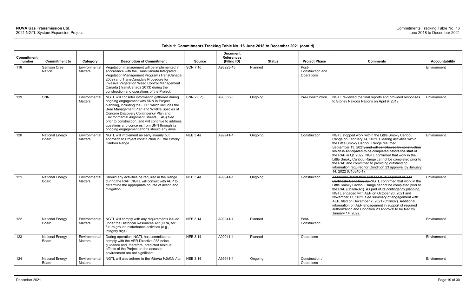| Commitment<br>number | <b>Commitment to</b>            | Category                 | <b>Description of Commitment</b>                                                                                                                                                                                                                                                                                                                                                                                                          | <b>Source</b>   | <b>Document</b><br><b>References</b><br>(Filing ID) |         | <b>Status</b> | <b>Project Phase</b>                    | <b>Comments</b>                                                                                                                                                                                                                                                                                                                                                                                                                                                                                                                             | <b>Accountability</b> |
|----------------------|---------------------------------|--------------------------|-------------------------------------------------------------------------------------------------------------------------------------------------------------------------------------------------------------------------------------------------------------------------------------------------------------------------------------------------------------------------------------------------------------------------------------------|-----------------|-----------------------------------------------------|---------|---------------|-----------------------------------------|---------------------------------------------------------------------------------------------------------------------------------------------------------------------------------------------------------------------------------------------------------------------------------------------------------------------------------------------------------------------------------------------------------------------------------------------------------------------------------------------------------------------------------------------|-----------------------|
| 118                  | Samson Cree<br><b>Nation</b>    | Environmental<br>Matters | Vegetation management will be implemented in<br>accordance with the TransCanada Integrated<br>Vegetation Management Program (TransCanada<br>2009) and TransCanada's Procedure for<br>Invasive Vegetation Weed Control Management<br>Canada (TransCanada 2013) during the<br>construction and operations of the Project.                                                                                                                   | <b>SCN 7.1d</b> | A98223-13                                           | Planned |               | Post-<br>Construction and<br>Operations |                                                                                                                                                                                                                                                                                                                                                                                                                                                                                                                                             | Environment           |
| 119                  | SNN                             | Environmental<br>Matters | NGTL will consider information gathered during<br>ongoing engagement with SNN in Project<br>planning, including the EPP, which includes the<br>Bear Management Plan and Wildlife Species of<br>Concern Discovery Contingency Plan and<br>Environmental Alignment Sheets (EAS) filed<br>prior to construction, and will continue to address<br>questions and concerns from SNN through its<br>ongoing engagement efforts should any arise. | SNN 2.6 c)      | A98655-6                                            | Ongoing |               | Pre-Construction                        | NGTL reviewed the final reports and provided responses<br>to Stoney Nakoda Nations on April 9, 2019.                                                                                                                                                                                                                                                                                                                                                                                                                                        | Environment           |
| 120                  | <b>National Energy</b><br>Board | Environmental<br>Matters | NGTL will implement an early in/early out<br>approach to Project construction in Little Smoky<br>Caribou Range.                                                                                                                                                                                                                                                                                                                           | <b>NEB 3.4a</b> | A99941-1                                            | Ongoing |               | Construction                            | NGTL stopped work within the Little Smoky Caribou<br>Range on February 14, 2021. Clearing activities within<br>the Little Smoky Caribou Range resumed<br>September 13, 2021, and will be followed by construction<br>which is anticipated to be completed before the start of<br>the RAP in Q1 2022. NGTL confirmed that work in the<br>Little Smoky Caribou Range cannot be completed prior to<br>the RAP and committed to providing outstanding<br>information required for Condition 23 approval by January<br>14, 2022 (C16840-1).      | Environment           |
| 121                  | <b>National Energy</b><br>Board | Environmental<br>Matters | Should any activities be required in the Range<br>during the RAP, NGTL will consult with AEP to<br>determine the appropriate course of action and<br>mitigation.                                                                                                                                                                                                                                                                          | <b>NEB 3.4a</b> | A99941-1                                            | Ongoing |               | Construction                            | Additional information and approval required as per<br>Certificate Condition 23. NGTL confirmed that work in the<br>Little Smoky Caribou Range cannot be completed prior to<br>the RAP (C16840-1). As part of its contingency planning,<br>NGTL engaged with AEP on October 26, 2021 and<br>November 17, 2021. See summary of engagement with<br>AEP, filed on December 7, 2021 (C16607). Additional<br>information on AEP engagement in support of required<br>authorization and Condition 23 approval to be filed by<br>January 14, 2022. | Environment           |
| 122                  | <b>National Energy</b><br>Board | Environmental<br>Matters | NGTL will comply with any requirements issued<br>under the Historical Resources Act (HRA) for<br>future ground disturbance activities (e.g.,<br>integrity digs).                                                                                                                                                                                                                                                                          | <b>NEB 3.14</b> | A99941-1                                            | Planned |               | Post-<br>Construction                   |                                                                                                                                                                                                                                                                                                                                                                                                                                                                                                                                             | Environment           |
| 123                  | <b>National Energy</b><br>Board | Environmental<br>Matters | During operation, NGTL has committed to<br>comply with the AER Directive 038 noise<br>guidance and, therefore, predicted residual<br>effects of the Project on the acoustic<br>environment are not significant.                                                                                                                                                                                                                           | <b>NEB 3.14</b> | A99941-1                                            | Planned |               | Operations                              |                                                                                                                                                                                                                                                                                                                                                                                                                                                                                                                                             | Environment           |
| 124                  | <b>National Energy</b><br>Board | Environmental<br>Matters | NGTL will also adhere to the Alberta Wildlife Act.                                                                                                                                                                                                                                                                                                                                                                                        | <b>NEB 3.14</b> | A99941-1                                            | Ongoing |               | Construction /<br>Operations            |                                                                                                                                                                                                                                                                                                                                                                                                                                                                                                                                             | Environment           |

| <b>Project Phase</b>                    | <b>Comments</b>                                                                                                                                                                                                                                                                                                                                                                                                                                                                                                                             | <b>Accountability</b> |
|-----------------------------------------|---------------------------------------------------------------------------------------------------------------------------------------------------------------------------------------------------------------------------------------------------------------------------------------------------------------------------------------------------------------------------------------------------------------------------------------------------------------------------------------------------------------------------------------------|-----------------------|
| Post-<br>Construction and<br>Operations |                                                                                                                                                                                                                                                                                                                                                                                                                                                                                                                                             | Environment           |
| Pre-Construction                        | NGTL reviewed the final reports and provided responses<br>to Stoney Nakoda Nations on April 9, 2019.                                                                                                                                                                                                                                                                                                                                                                                                                                        | Environment           |
| Construction                            | NGTL stopped work within the Little Smoky Caribou<br>Range on February 14, 2021. Clearing activities within<br>the Little Smoky Caribou Range resumed<br>September 13, 2021, and will be followed by construction<br>which is anticipated to be completed before the start of<br>the RAP in Q1 2022. NGTL confirmed that work in the<br>Little Smoky Caribou Range cannot be completed prior to<br>the RAP and committed to providing outstanding<br>information required for Condition 23 approval by January<br>14, 2022 (C16840-1).      | Environment           |
| Construction                            | Additional information and approval required as per<br>Certificate Condition 23. NGTL confirmed that work in the<br>Little Smoky Caribou Range cannot be completed prior to<br>the RAP (C16840-1). As part of its contingency planning,<br>NGTL engaged with AEP on October 26, 2021 and<br>November 17, 2021. See summary of engagement with<br>AEP, filed on December 7, 2021 (C16607). Additional<br>information on AEP engagement in support of required<br>authorization and Condition 23 approval to be filed by<br>January 14, 2022. | Environment           |
| Post-<br>Construction                   |                                                                                                                                                                                                                                                                                                                                                                                                                                                                                                                                             | Environment           |
| Operations                              |                                                                                                                                                                                                                                                                                                                                                                                                                                                                                                                                             | Environment           |
| Construction /<br>Operations            |                                                                                                                                                                                                                                                                                                                                                                                                                                                                                                                                             | Environment           |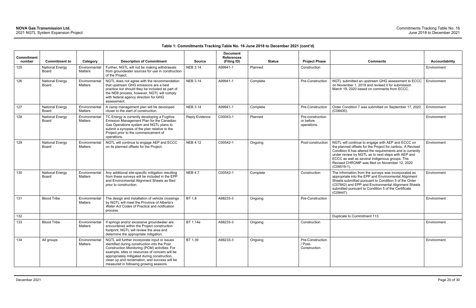| Commitment<br>number | <b>Commitment to</b>                   | Category                        | <b>Description of Commitment</b>                                                                                                                                                                                                                                                                                                            | <b>Source</b>   | <b>Document</b><br><b>References</b><br>(Filing ID) | <b>Status</b> | <b>Project Phase</b>                         | <b>Comments</b>                                                                                                                                                                                                                                                                                                                                         | <b>Accountability</b> |
|----------------------|----------------------------------------|---------------------------------|---------------------------------------------------------------------------------------------------------------------------------------------------------------------------------------------------------------------------------------------------------------------------------------------------------------------------------------------|-----------------|-----------------------------------------------------|---------------|----------------------------------------------|---------------------------------------------------------------------------------------------------------------------------------------------------------------------------------------------------------------------------------------------------------------------------------------------------------------------------------------------------------|-----------------------|
| 125                  | <b>National Energy</b><br><b>Board</b> | Environmental<br>Matters        | Further, NGTL will not be making withdrawals<br>from groundwater sources for use in construction<br>of the Proiect.                                                                                                                                                                                                                         | <b>NEB 3.14</b> | A99941-1                                            | Planned       | Construction                                 |                                                                                                                                                                                                                                                                                                                                                         | Environment           |
| 126                  | <b>National Energy</b><br><b>Board</b> | Environmental<br><b>Matters</b> | NGTL does not agree with the recommendation<br>that upstream GHG emissions are a best<br>practice nor should they be included as part of<br>the NEB process, however, NGTL will comply<br>with federal agency direction for GHG<br>assessment.                                                                                              | <b>NEB 3.14</b> | A99941-1                                            | Complete      | Pre-Construction                             | NGTL submitted an upstream GHG assessment to ECCC<br>on November 1, 2019 and revised it for submission<br>March 19, 2020 based on comments from ECCC.                                                                                                                                                                                                   | Environment           |
| 127                  | <b>National Energy</b><br><b>Board</b> | Environmental<br><b>Matters</b> | A camp management plan will be developed<br>closer to the start of construction.                                                                                                                                                                                                                                                            | <b>NEB 3.14</b> | A99941-1                                            | Complete      | Pre-Construction                             | Order Condition 7 was submitted on September 17, 2020<br>(C08400)                                                                                                                                                                                                                                                                                       | Environment           |
| 128                  | <b>National Energy</b><br>Board        | Environmental<br><b>Matters</b> | TC Energy is currently developing a Fugitive<br>Emission Management Plan for the Canadian<br>Gas Operations system and NGTL plans to<br>submit a synopsis of the plan relative to the<br>Project prior to the commencement of<br>operations.                                                                                                | Reply Evidence  | C00043-1                                            | Planned       | Pre-construction<br>or before<br>operations. |                                                                                                                                                                                                                                                                                                                                                         | Environment           |
| 129                  | <b>National Energy</b><br><b>Board</b> | Environmental<br><b>Matters</b> | NGTL will continue to engage AEP and ECCC<br>on its planned offsets for the Project.                                                                                                                                                                                                                                                        | <b>NEB 4.12</b> | C00542-1                                            | Ongoing       | Post-construction                            | NGTL will continue to engage with AEP and ECCC on<br>the planned offsets for the Project for caribou. A Revised<br>Condition 6 has altered the requirements and is currently<br>under review by NGTL as to next steps with AEP and<br>ECCC as well as several Indigenous groups. The<br>Revised CHROMP was filed on November 12, 2020<br>$(C09519-1)$ . | Environment           |
| 130                  | <b>National Energy</b><br>Board        | Environmental<br><b>Matters</b> | Any additional site-specific mitigation resulting<br>from these surveys will be included in the EPP<br>and Environmental Alignment Sheets as filed<br>prior to construction.                                                                                                                                                                | <b>NEB 4.7</b>  | C00542-1                                            | Complete      | Construction                                 | The information from the surveys was incorporated as<br>appropriate into the EPP and Environmental Alignment<br>Sheets submitted pursuant to Condition 5 of the Order<br>(C07842) and EPP and Environmental Alignment Sheets<br>submitted pursuant to Condition 5 of the Certificate<br>$(C09447)$ .                                                    | Environment           |
| 131                  | <b>Blood Tribe</b>                     | Environmental<br>Matters        | The design and installation of vehicle crossings<br>by NGTL will meet the Province of Alberta's<br>Water Act Codes of Practice and notification<br>process.                                                                                                                                                                                 | <b>BT 1.8</b>   | A98233-3                                            | Ongoing       | Pre-Construction                             |                                                                                                                                                                                                                                                                                                                                                         | Environment           |
| 132                  |                                        |                                 |                                                                                                                                                                                                                                                                                                                                             |                 |                                                     |               |                                              | Duplicate to Commitment 113.                                                                                                                                                                                                                                                                                                                            |                       |
| 133                  | <b>Blood Tribe</b>                     | Environmental<br>Matters        | If springs and/or excessive groundwater are<br>encountered within the Project construction<br>footprint, NGTL will review the area and<br>determine the appropriate mitigation.                                                                                                                                                             | BT 1.14e        | A98233-3                                            | Ongoing       | Construction                                 |                                                                                                                                                                                                                                                                                                                                                         | Environment           |
| 134                  | All groups                             | Environmental<br>Matters        | NGTL will further incorporate input or issues<br>identified during construction into the Post<br>Construction Monitoring (PCM) activities. For<br>example, sites or resources of concern will be<br>appropriately mitigated during construction,<br>clean up and reclamation, and success will be<br>measured in following growing seasons. | BT 1.39         | A98233-3                                            | Ongoing       | Pre-Construction<br>/ Post-<br>Construction  |                                                                                                                                                                                                                                                                                                                                                         | Environment           |

| <b>Accountability</b> |
|-----------------------|
| Environment           |
| Environment           |
| Environment           |
| Environment           |
| Environment           |
| Environment           |
| Environment           |
|                       |
| Environment           |
| Environment           |
|                       |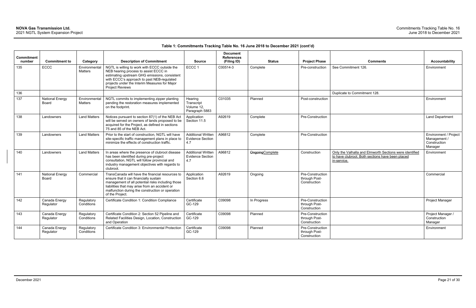| Commitment<br>number | <b>Commitment to</b>            | Category                        | <b>Description of Commitment</b>                                                                                                                                                                                                                                         | <b>Source</b>                                               | <b>Document</b><br><b>References</b><br>(Filing ID) | <b>Status</b>    | <b>Project Phase</b>                              | <b>Comments</b>                                                                                                            | <b>Accountability</b>                                            |
|----------------------|---------------------------------|---------------------------------|--------------------------------------------------------------------------------------------------------------------------------------------------------------------------------------------------------------------------------------------------------------------------|-------------------------------------------------------------|-----------------------------------------------------|------------------|---------------------------------------------------|----------------------------------------------------------------------------------------------------------------------------|------------------------------------------------------------------|
| 135                  | <b>ECCC</b>                     | Environmental<br><b>Matters</b> | NGTL is willing to work with ECCC outside the<br>NEB hearing process to assist ECCC in<br>estimating upstream GHG emissions, consistent<br>with ECCC's approach to past NEB-regulated<br>projects under the Interim Measures for Major<br><b>Project Reviews</b>         | ECCC <sub>1</sub>                                           | C00514-3                                            | Complete         | Pre-construction                                  | See Commitment 126.                                                                                                        | Environment                                                      |
| 136                  |                                 |                                 |                                                                                                                                                                                                                                                                          |                                                             |                                                     |                  |                                                   | Duplicate to Commitment 128.                                                                                               |                                                                  |
| 137                  | <b>National Energy</b><br>Board | Environmental<br><b>Matters</b> | NGTL commits to implementing zipper planting<br>pending the restoration measures implemented<br>on the footprint.                                                                                                                                                        | Hearing<br>Transcript<br>Volume 12,<br>Paragraph 5883       | C01035                                              | Planned          | Post-construction                                 |                                                                                                                            | Environment                                                      |
| 138                  | Landowners                      | <b>Land Matters</b>             | Notices pursuant to section 87(1) of the NEB Act<br>will be served on owners of lands proposed to be<br>acquired for the Project, as defined in sections<br>75 and 85 of the NEB Act.                                                                                    | Application<br>Section 11.5                                 | A92619                                              | Complete         | Pre-Construction                                  |                                                                                                                            | <b>Land Department</b>                                           |
| 139                  | Landowners                      | <b>Land Matters</b>             | Prior to the start of construction, NGTL will have<br>site-specific traffic management plans in place to<br>minimize the effects of construction traffic.                                                                                                                | <b>Additional Written</b><br><b>Evidence Section</b><br>4.7 | A96812                                              | Complete         | Pre-Construction                                  |                                                                                                                            | Environment / Project<br>Management /<br>Construction<br>Manager |
| 140                  | I andowners                     | <b>Land Matters</b>             | In areas where the presence of clubroot disease<br>has been identified during pre-project<br>consultation, NGTL will follow provincial and<br>industry management objectives with regards to<br>clubroot.                                                                | <b>Additional Written</b><br><b>Evidence Section</b><br>4.7 | A96812                                              | Ongoing Complete | Construction                                      | Only the Valhalla and Elmworth Sections were identified<br>to have clubroot. Both sections have been placed<br>in-service. | Environment                                                      |
| 141                  | <b>National Energy</b><br>Board | Commercial                      | TransCanada will have the financial resources to<br>ensure that it can financially sustain<br>management of all potential risks including those<br>liabilities that may arise from an accident or<br>malfunction during the construction or operation<br>of the Project. | Application<br>Section 6.6                                  | A92619                                              | Ongoing          | Pre-Construction<br>through Post-<br>Construction |                                                                                                                            | Commercial                                                       |
| 142                  | Canada Energy<br>Regulator      | Regulatory<br>Conditions        | Certificate Condition 1: Condition Compliance                                                                                                                                                                                                                            | Certificate<br>GC-129                                       | C09098                                              | In Progress      | Pre-Construction<br>through Post-<br>Construction |                                                                                                                            | Project Manager                                                  |
| 143                  | Canada Energy<br>Regulator      | Regulatory<br>Conditions        | Certificate Condition 2: Section 52 Pipeline and<br>Related Facilities Design, Location, Construction<br>and Operation                                                                                                                                                   | Certificate<br>GC-129                                       | C09098                                              | Planned          | Pre-Construction<br>through Post-<br>Construction |                                                                                                                            | Project Manager /<br>Construction<br>Manager                     |
| 144                  | Canada Energy<br>Regulator      | Regulatory<br>Conditions        | Certificate Condition 3: Environmental Protection                                                                                                                                                                                                                        | Certificate<br>GC-129                                       | C09098                                              | Planned          | Pre-Construction<br>through Post-<br>Construction |                                                                                                                            | Environment                                                      |

| <b>Accountability</b>                                            |
|------------------------------------------------------------------|
| Environment                                                      |
|                                                                  |
| Environment                                                      |
| <b>Land Department</b>                                           |
| Environment / Project<br>Management /<br>Construction<br>Manager |
| Environment                                                      |
|                                                                  |
| Commercial                                                       |
| Project Manager                                                  |
| Project Manager /<br>Construction<br>Manager                     |
| Environment                                                      |
|                                                                  |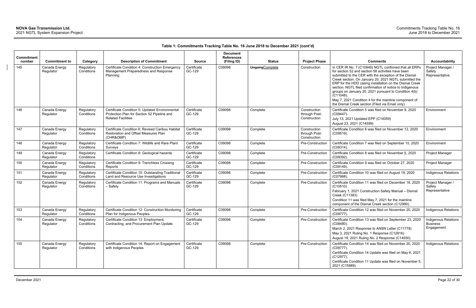| <b>Commitment</b> | <b>Commitment to</b>       |                                      |                                                                                                                                         |                                        | <b>Document</b><br><b>References</b> |                                         |                                               |                                                                                                                                                                                                                                                                                                                                                                                                                                                                                                                                                              | <b>Accountability</b>                                 |
|-------------------|----------------------------|--------------------------------------|-----------------------------------------------------------------------------------------------------------------------------------------|----------------------------------------|--------------------------------------|-----------------------------------------|-----------------------------------------------|--------------------------------------------------------------------------------------------------------------------------------------------------------------------------------------------------------------------------------------------------------------------------------------------------------------------------------------------------------------------------------------------------------------------------------------------------------------------------------------------------------------------------------------------------------------|-------------------------------------------------------|
| number<br>145     | Canada Energy<br>Regulator | Category<br>Regulatory<br>Conditions | <b>Description of Commitment</b><br>Certificate Condition 4: Construction Emergency<br>Management Preparedness and Response<br>Planning | <b>Source</b><br>Certificate<br>GC-129 | (Filing ID)<br>C09098                | <b>Status</b><br><b>OngoingComplete</b> | <b>Project Phase</b><br>Construction          | <b>Comments</b><br>In CER IR No. 7 (C10848) NGTL confirmed that all ERPs<br>for section 52 and section 58 activities have been<br>submitted to the CER with the exception of the Dismal<br>Creek section. On January 20, 2021 NGTL submitted the<br>ERP for the HDD casing installation on the Dismal Creek<br>section. NGTL filed confirmation of notice to Indigenous<br>groups on January 20, 2021 pursuant to Condition 4(b)<br>$(C11048)$ .<br>May 7, 2021 Condition 4 for the mainline component of<br>the Dismal Creek section (Filed via Email only) | Project Manager /<br>Safety<br>Representative         |
| 146               | Canada Energy<br>Regulator | Regulatory<br>Conditions             | Certificate Condition 5: Updated Environmental<br>Protection Plan for Section 52 Pipeline and<br><b>Related Facilities</b>              | Certificate<br>GC-129                  | C09098                               | Complete                                | Construction<br>through Post-<br>Construction | Certificate Condition 5 was filed on November 9, 2020<br>(C09447).<br>July 13, 2021 Updated EPP (C14059)<br>August 23, 2021 (C14599)                                                                                                                                                                                                                                                                                                                                                                                                                         | Environment                                           |
| 147               | Canada Energy<br>Regulator | Regulatory<br>Conditions             | Certificate Condition 6: Revised Caribou Habitat<br>Restoration and Offset Measures Plan<br>(CHR&OMP)                                   | Certificate<br>GC-129                  | C09098                               | Complete                                | Construction<br>through Post-<br>Construction | Certificate Condition 6 was filed on November 12, 2020<br>$(C09519)$ .                                                                                                                                                                                                                                                                                                                                                                                                                                                                                       | Environment                                           |
| 148               | Canada Energy<br>Regulator | Regulatory<br>Conditions             | Certificate Condition 7: Wildlife and Rare Plant<br>Surveys                                                                             | Certificate<br>GC-129                  | C09098                               | Complete                                | Pre-Construction                              | Certificate Condition 7 was filed on September 15, 2020<br>(C08314).                                                                                                                                                                                                                                                                                                                                                                                                                                                                                         | Environment                                           |
| 149               | Canada Energy<br>Regulator | Regulatory<br>Conditions             | Certificate Condition 8: Geological hazards                                                                                             | Certificate<br>GC-129                  | C09098                               | Complete                                | Pre-Construction                              | Certificate Condition 8 was filed on November 5, 2020<br>(C09392).                                                                                                                                                                                                                                                                                                                                                                                                                                                                                           | Project Manager                                       |
| 150               | Canada Energy<br>Regulator | Regulatory<br>Conditions             | Certificate Condition 9: Trenchless Crossing<br>Reports                                                                                 | Certificate<br>GC-129                  | C09098                               | Complete                                | Pre-Construction                              | Certificate Condition 9 was filed on October 27, 2020<br>(C09149).                                                                                                                                                                                                                                                                                                                                                                                                                                                                                           | Project Manager                                       |
| 151               | Canada Energy<br>Regulator | Regulatory<br>Conditions             | Certificate Condition 10: Outstanding Traditional<br>Land and Resource Use Investigations                                               | Certificate<br>GC-129                  | C09098                               | Complete                                | Pre-Construction                              | Certificate Condition 10 was filed on August 19, 2020<br>(C07968).                                                                                                                                                                                                                                                                                                                                                                                                                                                                                           | Indigenous Relations                                  |
| 152               | Canada Energy<br>Regulator | Regulatory<br>Conditions             | Certificate Condition 11: Programs and Manuals<br>- Safety                                                                              | Certificate<br>GC-129                  | C09098                               | Complete                                | <b>Pre-Construction</b>                       | Certificate Condition 11 was filed on December 18, 2020<br>(C10510)<br>February 1, 2021 Construction Safety Manual - Dismal<br>Creek (C11383)<br>Condition 11 was filed May 7, 2021 for the mainline<br>component of the Dismal Creek section (C12990).                                                                                                                                                                                                                                                                                                      | Project Manager /<br>Safety<br>Representative         |
| 153               | Canada Energy<br>Regulator | Regulatory<br>Conditions             | Certificate Condition 12: Construction Monitoring<br>Plan for Indigenous Peoples                                                        | Certificate<br>GC-129                  | C09098                               | Complete                                | Pre-Construction                              | Certificate Condition 12 was filed on November 20, 2020<br>$(C09777)$ .                                                                                                                                                                                                                                                                                                                                                                                                                                                                                      | Indigenous Relations                                  |
| 154               | Canada Energy<br>Regulator | Regulatory<br>Conditions             | Certificate Condition 13: Employment,<br>Contracting, and Procurement Plan Update                                                       | Certificate<br>GC-129                  | C09098                               | Complete                                | Pre-Construction                              | Certificate Condition 13 was filed on September 23, 2020<br>(C08480).<br>March 2, 2021 Response to ANSN Letter (C11778)<br>May 3, 2021 Ruling No. 1 Response (C12816)<br>August 19, 2021 Ruling No. 2 Response (C14550)                                                                                                                                                                                                                                                                                                                                      | Indigenous Relations<br><b>Business</b><br>Engagement |
| 155               | Canada Energy<br>Regulator | Regulatory<br>Conditions             | Certificate Condition 14: Report on Engagement<br>with Indigenous Peoples                                                               | Certificate<br>GC-129                  | C09098                               | Complete                                | Pre-Construction                              | Certificate Condition 14 was filed on November 20, 2020<br>(C09777).<br>Certificate Condition 14 Update was filed on May 6, 2021<br>(C12977).<br>Certificate Condition 11 Update was filed on November 5,<br>2021 (C15989).                                                                                                                                                                                                                                                                                                                                  | Indigenous Relations                                  |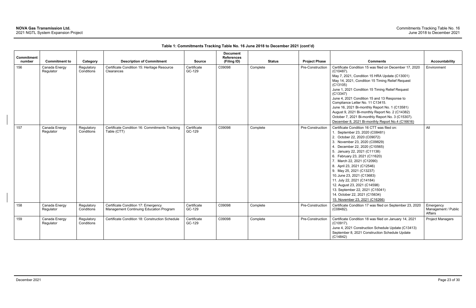| <b>Commitment</b><br>number | <b>Commitment to</b>       | Category                 | <b>Description of Commitment</b>                                               | <b>Source</b>         | <b>Document</b><br><b>References</b><br>(Filing ID) | <b>Status</b> | <b>Project Phase</b> | <b>Comments</b>                                                                                                                                                                                                                                                                                                                                                                                                                                                                                                                                           | <b>Accountability</b>                       |
|-----------------------------|----------------------------|--------------------------|--------------------------------------------------------------------------------|-----------------------|-----------------------------------------------------|---------------|----------------------|-----------------------------------------------------------------------------------------------------------------------------------------------------------------------------------------------------------------------------------------------------------------------------------------------------------------------------------------------------------------------------------------------------------------------------------------------------------------------------------------------------------------------------------------------------------|---------------------------------------------|
| 156                         | Canada Energy<br>Regulator | Regulatory<br>Conditions | Certificate Condition 15: Heritage Resource<br>Clearances                      | Certificate<br>GC-129 | C09098                                              | Complete      | Pre-Construction     | Certificate Condition 15 was filed on December 17, 2020<br>$(C10487)$ .<br>May 7, 2021, Condition 15 HRA Update (C13001)<br>May 14, 2021, Condition 15 Timing Relief Request<br>(C13105)<br>June 1, 2021 Condition 15 Timing Relief Request<br>(C13347)<br>June 4, 2021 Condition 15 and 13 Response to<br>Compliance Letter No. 11 C13415.<br>June 16, 2021 Bi-monthly Report No. 1 (C13581)<br>August 9, 2021 Bi-monthly Report No. 2 (C14382)<br>October 7, 2021 Bi-monthly Report No. 3 (C15307).<br>December 8, 2021 Bi-monthly Report No.4 (C16616) | Environment                                 |
| 157                         | Canada Energy<br>Regulator | Regulatory<br>Conditions | Certificate Condition 16: Commitments Tracking<br>Table (CTT)                  | Certificate<br>GC-129 | C09098                                              | Complete      | Pre-Construction     | Certificate Condition 16 CTT was filed on:<br>1. September 23, 2020 (C08481)<br>2. October 22, 2020 (C09072)<br>3. November 23, 2020 (C09829)<br>4. December 22, 2020 (C10565)<br>5. January 22, 2021 (C11138)<br>6. February 23, 2021 (C11620)<br>7. March 22, 2021 (C12090)<br>8. April 23, 2021 (C12546)<br>9. May 25, 2021 (C13237)<br>10. June 23, 2021 (C13683)<br>11. July 22, 2021 (C14184)<br>12. August 23, 2021 (C14598)<br>13. September 22, 2021 (C15041)<br>14. October 22, 2021 (C15634)<br>15. November 23, 2021 (C16266)                 | All                                         |
| 158                         | Canada Energy<br>Regulator | Regulatory<br>Conditions | Certificate Condition 17: Emergency<br>Management Continuing Education Program | Certificate<br>GC-129 | C09098                                              | Complete      | Pre-Construction     | Certificate Condition 17 was filed on September 23, 2020<br>(C08482).                                                                                                                                                                                                                                                                                                                                                                                                                                                                                     | Emergency<br>Management / Public<br>Affairs |
| 159                         | Canada Energy<br>Regulator | Regulatory<br>Conditions | Certificate Condition 18: Construction Schedule                                | Certificate<br>GC-129 | C09098                                              | Complete      | Pre-Construction     | Certificate Condition 18 was filed on January 14, 2021<br>(C10917).<br>June 4, 2021 Construction Schedule Update (C13413)<br>September 8, 2021 Construction Schedule Update<br>(C14842)                                                                                                                                                                                                                                                                                                                                                                   | <b>Project Managers</b>                     |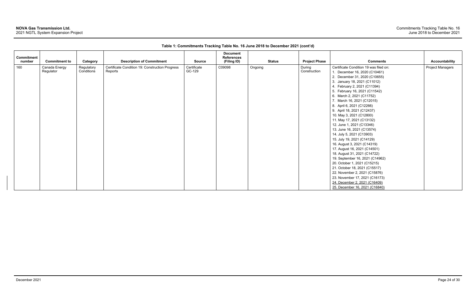| <b>Commitment</b> |                      |            |                                                 |               | <b>Document</b><br><b>References</b> |         |               |                      |                                        |                  |
|-------------------|----------------------|------------|-------------------------------------------------|---------------|--------------------------------------|---------|---------------|----------------------|----------------------------------------|------------------|
| number            | <b>Commitment to</b> | Category   | <b>Description of Commitment</b>                | <b>Source</b> | (Filing ID)                          |         | <b>Status</b> | <b>Project Phase</b> | <b>Comments</b>                        | Accountability   |
| 160               | Canada Energy        | Regulatory | Certificate Condition 19: Construction Progress | Certificate   | C09098                               | Ongoing |               | During               | Certificate Condition 19 was filed on: | Project Managers |
|                   | Regulator            | Conditions | Reports                                         | GC-129        |                                      |         |               | Construction         | 1. December 16, 2020 (C10461)          |                  |
|                   |                      |            |                                                 |               |                                      |         |               |                      | 2. December 31, 2020 (C10655)          |                  |
|                   |                      |            |                                                 |               |                                      |         |               |                      | 3. January 18, 2021 (C11012)           |                  |
|                   |                      |            |                                                 |               |                                      |         |               |                      | 4. February 2, 2021 (C11394)           |                  |
|                   |                      |            |                                                 |               |                                      |         |               |                      | 5. February 16, 2021 (C11542)          |                  |
|                   |                      |            |                                                 |               |                                      |         |               |                      | 6. March 2, 2021 (C11752)              |                  |
|                   |                      |            |                                                 |               |                                      |         |               |                      | 7. March 16, 2021 (C12015)             |                  |
|                   |                      |            |                                                 |               |                                      |         |               |                      | 8. April 6, 2021 (C12266)              |                  |
|                   |                      |            |                                                 |               |                                      |         |               |                      | 9. April 18, 2021 (C12437)             |                  |
|                   |                      |            |                                                 |               |                                      |         |               |                      | 10. May 3, 2021 (C12800)               |                  |
|                   |                      |            |                                                 |               |                                      |         |               |                      | 11. May 17, 2021 (C13132)              |                  |
|                   |                      |            |                                                 |               |                                      |         |               |                      | 12. June 1, 2021 (C13346)              |                  |
|                   |                      |            |                                                 |               |                                      |         |               |                      | 13. June 16, 2021 (C13574)             |                  |
|                   |                      |            |                                                 |               |                                      |         |               |                      | 14. July 5, 2021 (C13903)              |                  |
|                   |                      |            |                                                 |               |                                      |         |               |                      | 15. July 19, 2021 (C14129)             |                  |
|                   |                      |            |                                                 |               |                                      |         |               |                      | 16. August 3, 2021 (C14319)            |                  |
|                   |                      |            |                                                 |               |                                      |         |               |                      | 17. August 16, 2021 (C14501)           |                  |
|                   |                      |            |                                                 |               |                                      |         |               |                      | 18. August 31, 2021 (C14722)           |                  |
|                   |                      |            |                                                 |               |                                      |         |               |                      | 19. September 16, 2021 (C14962)        |                  |
|                   |                      |            |                                                 |               |                                      |         |               |                      | 20. October 1, 2021 (C15215)           |                  |
|                   |                      |            |                                                 |               |                                      |         |               |                      | 21. October 18, 2021 (C15517)          |                  |
|                   |                      |            |                                                 |               |                                      |         |               |                      | 22. November 2, 2021 (C15876)          |                  |
|                   |                      |            |                                                 |               |                                      |         |               |                      | 23. November 17, 2021 (C16173)         |                  |
|                   |                      |            |                                                 |               |                                      |         |               |                      | 24. December 2, 2021 (C16409)          |                  |
|                   |                      |            |                                                 |               |                                      |         |               |                      | 25. December 16, 2021 (C16840)         |                  |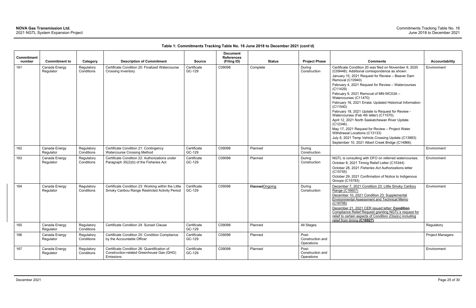| <b>Commitment</b> |                            |                          |                                                                             |                       | <b>Document</b><br><b>References</b> |                |               |                                                                |                                                                                                         |                         |
|-------------------|----------------------------|--------------------------|-----------------------------------------------------------------------------|-----------------------|--------------------------------------|----------------|---------------|----------------------------------------------------------------|---------------------------------------------------------------------------------------------------------|-------------------------|
| number            | <b>Commitment to</b>       | Category                 | <b>Description of Commitment</b>                                            | <b>Source</b>         | (Filing ID)                          |                | <b>Status</b> | <b>Project Phase</b>                                           | <b>Comments</b>                                                                                         | <b>Accountability</b>   |
| 161               | Canada Energy<br>Regulator | Regulatory<br>Conditions | Certificate Condition 20: Finalized Watercourse<br>Crossing Inventory       | Certificate<br>GC-129 | C09098                               | Complete       |               | During<br>Construction                                         | Certificate Condition 20 was filed on November 9, 2020<br>(C09448). Additional correspondence as shown: | Environment             |
|                   |                            |                          |                                                                             |                       |                                      |                |               |                                                                | January 15, 2021 Request for Review - Beaver Dam<br>Removal (C10940)                                    |                         |
|                   |                            |                          |                                                                             |                       |                                      |                |               | February 4, 2021 Request for Review - Watercourses<br>(C11429) |                                                                                                         |                         |
|                   |                            |                          |                                                                             |                       |                                      |                |               |                                                                | February 9, 2021 Removal of MN-WC03A -<br>Watercourses (C11470)                                         |                         |
|                   |                            |                          |                                                                             |                       |                                      |                |               |                                                                | February 16, 2021 Errata: Updated Historical Information<br>(C11540)                                    |                         |
|                   |                            |                          |                                                                             |                       |                                      |                |               |                                                                | February 18, 2021 Update to Request for Review -<br>Watercourses (Feb 4th letter) (C11570).             |                         |
|                   |                            |                          |                                                                             |                       |                                      |                |               |                                                                | April 12, 2021 North Saskatchewan River Update<br>$(C12346)$ .                                          |                         |
|                   |                            |                          |                                                                             |                       |                                      |                |               |                                                                | May 17, 2021 Request for Review - Project Water<br>Withdrawal Locations (C13133)                        |                         |
|                   |                            |                          |                                                                             |                       |                                      |                |               |                                                                | July 8, 2021 Temp Vehicle Crossing Update (C13983)                                                      |                         |
|                   |                            |                          |                                                                             |                       |                                      |                |               |                                                                | September 10, 2021 Albert Creek Bridge (C14866)                                                         |                         |
| 162               | Canada Energy<br>Regulator | Regulatory<br>Conditions | Certificate Condition 21: Contingency<br><b>Watercourse Crossing Method</b> | Certificate<br>GC-129 | C09098                               | Planned        |               | During<br>Construction                                         |                                                                                                         | Environment             |
| 163               | Canada Energy              | Regulatory               | Certificate Condition 22: Authorizations under                              | Certificate           | C09098                               | Planned        |               | During                                                         | NGTL is consulting with DFO on referred watercourses.                                                   | Environment             |
|                   | Regulator                  | Conditions               | Paragraph 35(2)(b) of the Fisheries Act                                     | GC-129                |                                      |                |               | Construction                                                   | October 8, 2021 Timing Relief Letter (C15344)                                                           |                         |
|                   |                            |                          |                                                                             |                       |                                      |                |               |                                                                | October 28, 2021 Fisheries Act Authorizations letter<br>(C15755)                                        |                         |
|                   |                            |                          |                                                                             |                       |                                      |                |               |                                                                | October 29, 2021 Confirmation of Notice to Indigenous                                                   |                         |
|                   |                            |                          |                                                                             |                       |                                      |                |               |                                                                | <b>Groups (C15793)</b>                                                                                  |                         |
| 164               | Canada Energy              | Regulatory               | Certificate Condition 23: Working within the Little                         | Certificate           | C09098                               | PlannedOngoing |               | During                                                         | December 7, 2021 Condition 23: Little Smoky Caribou                                                     | Environment             |
|                   | Regulator                  | Conditions               | Smoky Caribou Range Restricted Activity Period                              | GC-129                |                                      |                |               | Construction                                                   | Range (C16607)<br>December 10, 2021 Condition 23: Supplemental                                          |                         |
|                   |                            |                          |                                                                             |                       |                                      |                |               |                                                                | <b>Environmental Assessment and Technical Memo</b>                                                      |                         |
|                   |                            |                          |                                                                             |                       |                                      |                |               |                                                                | (C16706)                                                                                                |                         |
|                   |                            |                          |                                                                             |                       |                                      |                |               |                                                                | December 21, 2021 CER issued letter: Condition<br>Compliance Relief Request granting NGTL's request for |                         |
|                   |                            |                          |                                                                             |                       |                                      |                |               |                                                                | relief to certain aspects of Condition 23(a)(v) including                                               |                         |
|                   |                            |                          |                                                                             |                       |                                      |                |               |                                                                | relief from timing (C16927)                                                                             |                         |
| 165               | Canada Energy<br>Regulator | Regulatory<br>Conditions | Certificate Condition 24: Sunset Clause                                     | Certificate<br>GC-129 | C09098                               | Planned        |               | All Stages                                                     |                                                                                                         | Regulatory              |
| 166               | Canada Energy              | Regulatory               | Certificate Condition 25: Condition Compliance                              | Certificate           | C09098                               | Planned        |               | Post-                                                          |                                                                                                         | <b>Project Managers</b> |
|                   | Regulator                  | Conditions               | by the Accountable Officer                                                  | GC-129                |                                      |                |               | Construction and<br>Operations                                 |                                                                                                         |                         |
| 167               | Canada Energy              | Regulatory               | Certificate Condition 26: Quantification of                                 | Certificate           | C09098                               | Planned        |               | Post-                                                          |                                                                                                         | Environment             |
|                   | Regulator                  | Conditions               | Construction-related Greenhouse Gas (GHG)<br>Emissions                      | GC-129                |                                      |                |               | Construction and<br>Operations                                 |                                                                                                         |                         |
|                   |                            |                          |                                                                             |                       |                                      |                |               |                                                                |                                                                                                         |                         |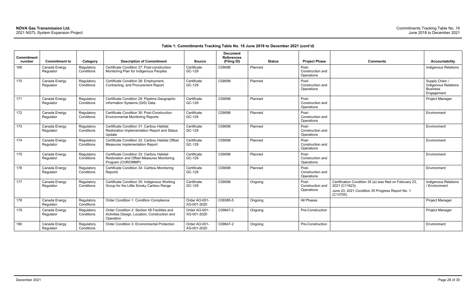| <b>Comments</b>                                                                                                                             | <b>Accountability</b>                                                   |
|---------------------------------------------------------------------------------------------------------------------------------------------|-------------------------------------------------------------------------|
|                                                                                                                                             | Indigenous Relations                                                    |
|                                                                                                                                             | Supply Chain /<br>Indigenous Relations<br><b>Business</b><br>Engagement |
|                                                                                                                                             | Project Manager                                                         |
|                                                                                                                                             | Environment                                                             |
|                                                                                                                                             | Environment                                                             |
|                                                                                                                                             | Environment                                                             |
|                                                                                                                                             | Environment                                                             |
|                                                                                                                                             | Environment                                                             |
| Certification Condition 35 (a) was filed on February 23,<br>2021 (C11623).<br>June 23, 2021 Condition 35 Progress Report No. 1<br>(C13705). | Indigenous Relations<br>/ Environment                                   |
|                                                                                                                                             | Project Manager                                                         |
|                                                                                                                                             | Project Manager                                                         |
|                                                                                                                                             | Environment                                                             |

| Commitment<br>number | <b>Commitment to</b>       | Category                 | <b>Description of Commitment</b>                                                                             | <b>Source</b>                | <b>Document</b><br><b>References</b><br>(Filing ID) | <b>Status</b> | <b>Project Phase</b>                    | <b>Comments</b>                                                                                                                            | <b>Accountability</b>                                                  |
|----------------------|----------------------------|--------------------------|--------------------------------------------------------------------------------------------------------------|------------------------------|-----------------------------------------------------|---------------|-----------------------------------------|--------------------------------------------------------------------------------------------------------------------------------------------|------------------------------------------------------------------------|
| 168                  | Canada Energy<br>Regulator | Regulatory<br>Conditions | Certificate Condition 27: Post-construction<br>Monitoring Plan for Indigenous Peoples                        | Certificate<br>GC-129        | C09098                                              | Planned       | Post-<br>Construction and<br>Operations |                                                                                                                                            | Indigenous Relation                                                    |
| 170                  | Canada Energy<br>Regulator | Regulatory<br>Conditions | Certificate Condition 28: Employment,<br>Contracting, and Procurement Report                                 | Certificate<br>GC-129        | C09098                                              | Planned       | Post-<br>Construction and<br>Operations |                                                                                                                                            | Supply Chain /<br>Indigenous Relation<br><b>Business</b><br>Engagement |
| 171                  | Canada Energy<br>Regulator | Regulatory<br>Conditions | Certificate Condition 29: Pipeline Geographic<br>Information Systems (GIS) Data                              | Certificate<br>GC-129        | C09098                                              | Planned       | Post-<br>Construction and<br>Operations |                                                                                                                                            | Project Manager                                                        |
| 172                  | Canada Energy<br>Regulator | Regulatory<br>Conditions | Certificate Condition 30: Post-Construction<br><b>Environmental Monitoring Reports</b>                       | Certificate<br>GC-129        | C09098                                              | Planned       | Post-<br>Construction and<br>Operations |                                                                                                                                            | Environment                                                            |
| 173                  | Canada Energy<br>Regulator | Regulatory<br>Conditions | Certificate Condition 31: Caribou Habitat<br>Restoration Implementation Report and Status<br>Update          | Certificate<br>GC-129        | C09098                                              | Planned       | Post-<br>Construction and<br>Operations |                                                                                                                                            | Environment                                                            |
| 174                  | Canada Energy<br>Regulator | Regulatory<br>Conditions | Certificate Condition 32: Caribou Habitat Offset<br><b>Measures Implementation Report</b>                    | Certificate<br>GC-129        | C09098                                              | Planned       | Post-<br>Construction and<br>Operations |                                                                                                                                            | Environment                                                            |
| 175                  | Canada Energy<br>Regulator | Regulatory<br>Conditions | Certificate Condition 33: Caribou Habitat<br>Restoration and Offset Measures Monitoring<br>Program (CHROMMP) | Certificate<br>GC-129        | C09098                                              | Planned       | Post-<br>Construction and<br>Operations |                                                                                                                                            | Environment                                                            |
| 176                  | Canada Energy<br>Regulator | Regulatory<br>Conditions | Certificate Condition 34: Caribou Monitoring<br>Reports                                                      | Certificate<br>GC-129        | C09098                                              | Planned       | Post-<br>Construction and<br>Operations |                                                                                                                                            | Environment                                                            |
| 177                  | Canada Energy<br>Regulator | Regulatory<br>Conditions | Certificate Condition 35: Indigenous Working<br>Group for the Little Smoky Caribou Range                     | Certificate<br>GC-129        | C09098                                              | Ongoing       | Post-<br>Construction and<br>Operations | Certification Condition 35 (a) was filed on February 23,<br>2021 (C11623).<br>June 23, 2021 Condition 35 Progress Report No. 1<br>(C13705) | Indigenous Relation<br>/ Environment                                   |
| 178                  | Canada Energy<br>Regulator | Regulatory<br>Conditions | Order Condition 1: Condition Compliance                                                                      | Order AO-001<br>XG-001-2020  | C09385-5                                            | Ongoing       | All Phases                              |                                                                                                                                            | Project Manager                                                        |
| 179                  | Canada Energy<br>Regulator | Regulatory<br>Conditions | Order Condition 2: Section 58 Facilities and<br>Activities Design, Location, Construction and<br>Operation   | Order AO-001-<br>XG-001-2020 | C09647-2                                            | Ongoing       | Pre-Construction                        |                                                                                                                                            | Project Manager                                                        |
| 180                  | Canada Energy<br>Regulator | Regulatory<br>Conditions | Order Condition 3: Environmental Protection                                                                  | Order AO-001-<br>XG-001-2020 | C09647-2                                            | Ongoing       | Pre-Construction                        |                                                                                                                                            | Environment                                                            |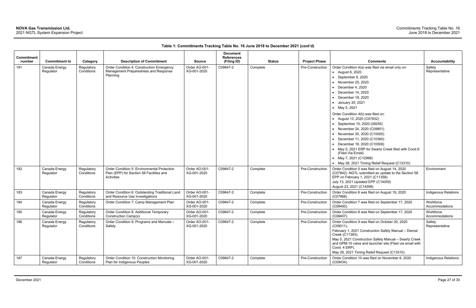| <b>Commitment</b> |                            |                          |                                                                                                             |                              | <b>Document</b><br><b>References</b> |          |               |                                          |                                                                                                                                                                                                                                                                                                                                                                                          |                             |
|-------------------|----------------------------|--------------------------|-------------------------------------------------------------------------------------------------------------|------------------------------|--------------------------------------|----------|---------------|------------------------------------------|------------------------------------------------------------------------------------------------------------------------------------------------------------------------------------------------------------------------------------------------------------------------------------------------------------------------------------------------------------------------------------------|-----------------------------|
| number            | <b>Commitment to</b>       | Category                 | <b>Description of Commitment</b>                                                                            | <b>Source</b>                | (Filing ID)                          |          | <b>Status</b> | <b>Project Phase</b><br>Pre-Construction | <b>Comments</b>                                                                                                                                                                                                                                                                                                                                                                          | <b>Accountability</b>       |
| 181               | Canada Energy<br>Regulator | Conditions               | Regulatory<br>Order Condition 4: Construction Emergency<br>Management Preparedness and Response<br>Planning | Order AO-001-<br>XG-001-2020 | C09647-2                             | Complete |               |                                          | Order Condition 4(a) was filed via email only on:<br>• August 6, 2020<br>• September 9, 2020<br>• November 25, 2020<br>December 4, 2020<br>December 14, 2020<br>December 18, 2020<br>• January 20, 2021<br>• May 5, 2021                                                                                                                                                                 | Safety<br>Representative    |
|                   |                            |                          |                                                                                                             |                              |                                      |          |               |                                          | Order Condition 4(b) was filed on:<br>• August 13, 2020 (C07832)<br>• September 10, 2020 (08255)<br>• November 24, 2020 (C09851)<br>• November 30, 2020 (C10000)<br>• December 11, 2020 (C10360)<br>• December 18, 2020 (C10509)<br>• May 5, 2021 ERP for Swartz Creek filed with Cond.9<br>(Filed Via Email)<br>• May 7, 2021 (C12996)<br>• May 28, 2021 Timing Relief Request (C13310) |                             |
| 182               | Canada Energy<br>Regulator | Regulatory<br>Conditions | Order Condition 5: Environmental Protection<br>Plan (EPP) for Section 58 Facilities and<br>Activities       | Order AO-001-<br>XG-001-2020 | C09647-2                             | Complete |               | Pre-Construction                         | Order Condition 5 was filed on August 14, 2020<br>(C07842). NGTL submitted an update to the Section 58<br>EPP on February 1, 2021 (C11358).<br>July 13, 2021 Updated EPP (C14059)<br>August 23, 2021 (C14599)                                                                                                                                                                            | Environment                 |
| 183               | Canada Energy<br>Regulator | Regulatory<br>Conditions | Order Condition 6: Outstanding Traditional Land<br>and Resource Use Investigations                          | Order AO-001-<br>XG-001-2020 | C09647-2                             | Complete |               | Pre-Construction                         | Order Condition 6 was filed on August 19, 2020<br>(C07968).                                                                                                                                                                                                                                                                                                                              | <b>Indigenous Relations</b> |
| 184               | Canada Energy<br>Regulator | Regulatory<br>Conditions | Order Condition 7: Camp Management Plan                                                                     | Order AO-001-<br>XG-001-2020 | C09647-2                             | Complete |               | Pre-Construction                         | Order Condition 7 was filed on September 17, 2020<br>$(C08400)$ .                                                                                                                                                                                                                                                                                                                        | Workforce<br>Accommodations |
| 185               | Canada Energy<br>Regulator | Regulatory<br>Conditions | Order Condition 8: Additional Temporary<br>Construction Camp(s)                                             | Order AO-001-<br>XG-001-2020 | C09647-2                             | Complete |               | Pre-Construction                         | Order Condition 8 was filed on September 17, 2020<br>(C08407).                                                                                                                                                                                                                                                                                                                           | Workforce<br>Accommodations |
| 186               | Canada Energy<br>Regulator | Regulatory<br>Conditions | Order Condition 9: Programs and Manuals -<br>Safety                                                         | Order AO-001-<br>XG-001-2020 | C09647-2                             | Complete |               | Pre-Construction                         | Order Condition 9 was filed on October 20, 2020<br>$(C09011)$ .<br>February 1, 2021 Construction Safety Manual - Dismal<br>Creek (C11383).<br>May 5, 2021 Construction Safety Manual - Swartz Creek<br>and GPM-10 valve and launcher site (Filed via email with<br>Cond. 4 ERP).<br>May 28, 2021 Timing Relief Request (C13310)                                                          | Safety<br>Representative    |
| 187               | Canada Energy<br>Regulator | Regulatory<br>Conditions | Order Condition 10: Construction Monitoring<br>Plan for Indigenous Peoples                                  | Order AO-001-<br>XG-001-2020 | C09647-2                             | Complete |               | Pre-Construction                         | Order Condition 10 was filed on November 6, 2020<br>$(C09434)$ .                                                                                                                                                                                                                                                                                                                         | Indigenous Relations        |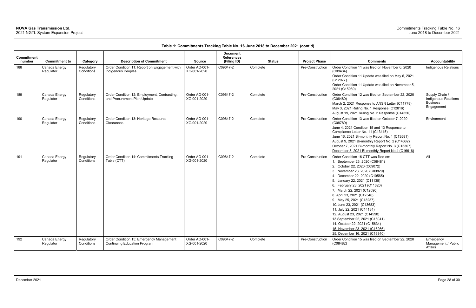| <b>Commitment</b><br>number | <b>Commitment to</b>       | Category                 | <b>Description of Commitment</b>                                                | <b>Source</b>                | <b>Document</b><br><b>References</b><br>(Filing ID) | <b>Status</b> | <b>Project Phase</b> | <b>Comments</b>                                                                                                                                                                                                                                                                                                                                                                                                                                                                                                                                                       | <b>Accountability</b>                                                          |
|-----------------------------|----------------------------|--------------------------|---------------------------------------------------------------------------------|------------------------------|-----------------------------------------------------|---------------|----------------------|-----------------------------------------------------------------------------------------------------------------------------------------------------------------------------------------------------------------------------------------------------------------------------------------------------------------------------------------------------------------------------------------------------------------------------------------------------------------------------------------------------------------------------------------------------------------------|--------------------------------------------------------------------------------|
| 188                         | Canada Energy<br>Regulator | Regulatory<br>Conditions | Order Condition 11: Report on Engagement with<br>Indigenous Peoples             | Order AO-001-<br>XG-001-2020 | C09647-2                                            | Complete      | Pre-Construction     | Order Condition 11 was filed on November 6, 2020<br>$(C09434)$ .<br>Order Condition 11 Update was filed on May 6, 2021<br>(C12977).<br>Order Condition 11 Update was filed on November 5,<br>2021 (C15989)                                                                                                                                                                                                                                                                                                                                                            | Indigenous Relations                                                           |
| 189                         | Canada Energy<br>Regulator | Regulatory<br>Conditions | Order Condition 12: Employment, Contracting,<br>and Procurement Plan Update     | Order AO-001-<br>XG-001-2020 | C09647-2                                            | Complete      | Pre-Construction     | Order Condition 12 was filed on September 22, 2020<br>(C08480)<br>March 2, 2021 Response to ANSN Letter (C11778)<br>May 3, 2021 Ruling No. 1 Response (C12816)<br>August 19, 2021 Ruling No. 2 Response (C14550)                                                                                                                                                                                                                                                                                                                                                      | Supply Chain /<br><b>Indigenous Relations</b><br><b>Business</b><br>Engagement |
| 190                         | Canada Energy<br>Regulator | Regulatory<br>Conditions | Order Condition 13: Heritage Resource<br>Clearances                             | Order AO-001-<br>XG-001-2020 | C09647-2                                            | Complete      | Pre-Construction     | Order Condition 13 was filed on October 7, 2020<br>(C08789)<br>June 4, 2021 Condition 15 and 13 Response to<br>Compliance Letter No. 11 (C13415)<br>June 16, 2021 Bi-monthly Report No. 1 (C13581)<br>August 9, 2021 Bi-monthly Report No. 2 (C14382)<br>October 7, 2021 Bi-monthly Report No. 3 (C15307)<br>December 8, 2021 Bi-monthly Report No.4 (C16616)                                                                                                                                                                                                         | Environment                                                                    |
| 191                         | Canada Energy<br>Regulator | Regulatory<br>Conditions | Order Condition 14: Commitments Tracking<br>Table (CTT)                         | Order AO-001-<br>XG-001-2020 | C09647-2                                            | Complete      | Pre-Construction     | Order Condition 16 CTT was filed on:<br>1. September 23, 2020 (C08481)<br>2. October 22, 2020 (C09072)<br>3. November 23, 2020 (C09829)<br>4. December 22, 2020 (C10565)<br>5. January 22, 2021 (C11138)<br>6. February 23, 2021 (C11620)<br>7. March 22, 2021 (C12090)<br>8. April 23, 2021 (C12546)<br>9. May 25, 2021 (C13237)<br>10. June 23, 2021 (C13683)<br>11. July 22, 2021 (C14184)<br>12. August 23, 2021 (C14598)<br>13. September 22, 2021 (C15041)<br>14. October 22, 2021 (C15634)<br>15. November 23, 2021 (C16266)<br>25. December 16, 2021 (C16840) | All                                                                            |
| 192                         | Canada Energy<br>Regulator | Regulatory<br>Conditions | Order Condition 15: Emergency Management<br><b>Continuing Education Program</b> | Order AO-001-<br>XG-001-2020 | C09647-2                                            | Complete      | Pre-Construction     | Order Condition 15 was filed on September 22, 2020<br>(C08482)                                                                                                                                                                                                                                                                                                                                                                                                                                                                                                        | Emergency<br>Management / Public<br>Affairs                                    |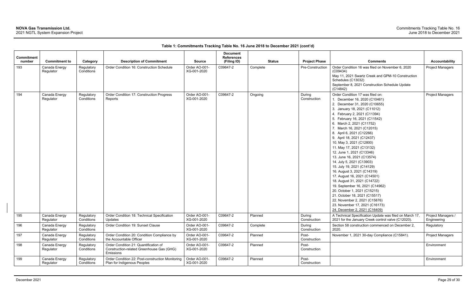| Commitment<br>number | <b>Commitment to</b>       |                                      | <b>Description of Commitment</b>                                                                | <b>Source</b>                | <b>Document</b><br><b>References</b> | <b>Status</b> | <b>Project Phase</b>   | <b>Comments</b>                                                                                                                                                                                                                                                                                                                                                                                                                                                                                                                                                                                                                                                                                                                                                                                                 | <b>Accountability</b>             |
|----------------------|----------------------------|--------------------------------------|-------------------------------------------------------------------------------------------------|------------------------------|--------------------------------------|---------------|------------------------|-----------------------------------------------------------------------------------------------------------------------------------------------------------------------------------------------------------------------------------------------------------------------------------------------------------------------------------------------------------------------------------------------------------------------------------------------------------------------------------------------------------------------------------------------------------------------------------------------------------------------------------------------------------------------------------------------------------------------------------------------------------------------------------------------------------------|-----------------------------------|
| 193                  | Canada Energy<br>Regulator | Category<br>Regulatory<br>Conditions | Order Condition 16: Construction Schedule                                                       | Order AO-001-<br>XG-001-2020 | (Filing ID)<br>C09647-2              | Complete      | Pre-Construction       | Order Condition 16 was filed on November 6, 2020<br>(C09434)<br>May 11, 2021 Swartz Creek and GPM-10 Construction<br>Schedules (C13032)<br>September 8, 2021 Construction Schedule Update<br>(C14842)                                                                                                                                                                                                                                                                                                                                                                                                                                                                                                                                                                                                           | <b>Project Managers</b>           |
| 194                  | Canada Energy<br>Regulator | Regulatory<br>Conditions             | Order Condition 17: Construction Progress<br>Reports                                            | Order AO-001-<br>XG-001-2020 | C09647-2                             | Ongoing       | During<br>Construction | Order Condition 17 was filed on:<br>1. December 16, 2020 (C10461)<br>2. December 31, 2020 (C10655)<br>3. January 18, 2021 (C11012)<br>4. February 2, 2021 (C11394)<br>5. February 16, 2021 (C11542)<br>6. March 2, 2021 (C11752)<br>7. March 16, 2021 (C12015)<br>8. April 6, 2021 (C12266)<br>9. April 18, 2021 (C12437)<br>10. May 3, 2021 (C12800)<br>11. May 17, 2021 (C13132)<br>12. June 1, 2021 (C13346)<br>13. June 16, 2021 (C13574)<br>14. July 5, 2021 (C13903)<br>15. July 19, 2021 (C14129)<br>16. August 3, 2021 (C14319)<br>17. August 16, 2021 (C14501)<br>18. August 31, 2021 (C14722)<br>19. September 16, 2021 (C14962)<br>20. October 1, 2021 (C15215)<br>21. October 18, 2021 (C15517)<br>22. November 2, 2021 (C15876)<br>23. November 17, 2021 (C16173)<br>24. December 2, 2021 (C16409) | <b>Project Managers</b>           |
| 195                  | Canada Energy<br>Regulator | Regulatory<br>Conditions             | Order Condition 18: Technical Specification<br>Updates                                          | Order AO-001-<br>XG-001-2020 | C09647-2                             | Planned       | During<br>Construction | A Technical Specification Update was filed on March 17,<br>2021 for the January Creek control valve (C12020).                                                                                                                                                                                                                                                                                                                                                                                                                                                                                                                                                                                                                                                                                                   | Project Managers /<br>Engineering |
| 196                  | Canada Energy<br>Regulator | Regulatory<br>Conditions             | Order Condition 19: Sunset Clause                                                               | Order AO-001-<br>XG-001-2020 | C09647-2                             | Complete      | During<br>Construction | Section 58 construction commenced on December 2,<br>2020.                                                                                                                                                                                                                                                                                                                                                                                                                                                                                                                                                                                                                                                                                                                                                       | Regulatory                        |
| 197                  | Canada Energy<br>Regulator | Regulatory<br>Conditions             | Order Condition 20: Condition Compliance by<br>the Accountable Officer                          | Order AO-001-<br>XG-001-2020 | C09647-2                             | Planned       | Post-<br>Construction  | November 1, 2021 30-day Compliance (C15841).                                                                                                                                                                                                                                                                                                                                                                                                                                                                                                                                                                                                                                                                                                                                                                    | Project Managers                  |
| 198                  | Canada Energy<br>Regulator | Regulatory<br>Conditions             | Order Condition 21: Quantification of<br>Construction-related Greenhouse Gas (GHG)<br>Emissions | Order AO-001-<br>XG-001-2020 | C09647-2                             | Planned       | Post-<br>Construction  |                                                                                                                                                                                                                                                                                                                                                                                                                                                                                                                                                                                                                                                                                                                                                                                                                 | Environment                       |
| 199                  | Canada Energy<br>Regulator | Regulatory<br>Conditions             | Order Condition 22: Post-construction Monitoring<br>Plan for Indigenous Peoples                 | Order AO-001-<br>XG-001-2020 | C09647-2                             | Planned       | Post-<br>Construction  |                                                                                                                                                                                                                                                                                                                                                                                                                                                                                                                                                                                                                                                                                                                                                                                                                 | Environment                       |